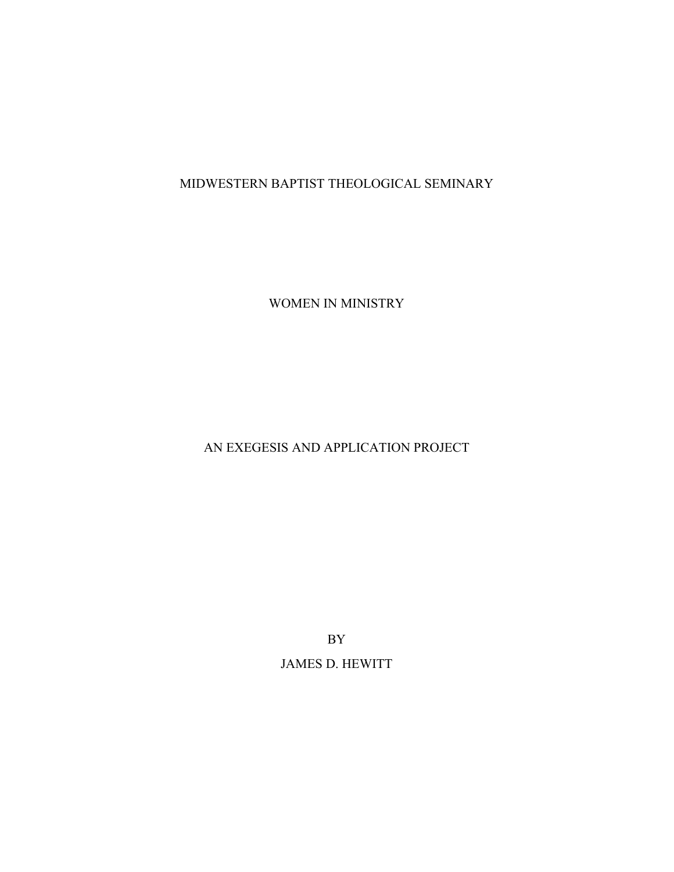# MIDWESTERN BAPTIST THEOLOGICAL SEMINARY

WOMEN IN MINISTRY

# AN EXEGESIS AND APPLICATION PROJECT

BY JAMES D. HEWITT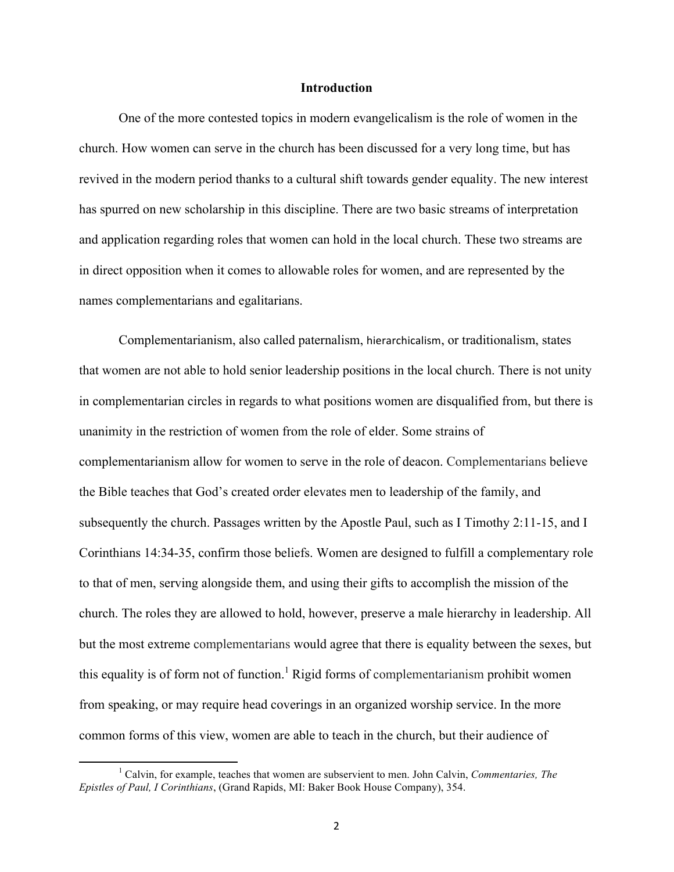#### **Introduction**

One of the more contested topics in modern evangelicalism is the role of women in the church. How women can serve in the church has been discussed for a very long time, but has revived in the modern period thanks to a cultural shift towards gender equality. The new interest has spurred on new scholarship in this discipline. There are two basic streams of interpretation and application regarding roles that women can hold in the local church. These two streams are in direct opposition when it comes to allowable roles for women, and are represented by the names complementarians and egalitarians.

Complementarianism, also called paternalism, hierarchicalism, or traditionalism, states that women are not able to hold senior leadership positions in the local church. There is not unity in complementarian circles in regards to what positions women are disqualified from, but there is unanimity in the restriction of women from the role of elder. Some strains of complementarianism allow for women to serve in the role of deacon. Complementarians believe the Bible teaches that God's created order elevates men to leadership of the family, and subsequently the church. Passages written by the Apostle Paul, such as I Timothy 2:11-15, and I Corinthians 14:34-35, confirm those beliefs. Women are designed to fulfill a complementary role to that of men, serving alongside them, and using their gifts to accomplish the mission of the church. The roles they are allowed to hold, however, preserve a male hierarchy in leadership. All but the most extreme complementarians would agree that there is equality between the sexes, but this equality is of form not of function.<sup>1</sup> Rigid forms of complementarianism prohibit women from speaking, or may require head coverings in an organized worship service. In the more common forms of this view, women are able to teach in the church, but their audience of

<sup>1</sup> Calvin, for example, teaches that women are subservient to men. John Calvin, *Commentaries, The Epistles of Paul, I Corinthians*, (Grand Rapids, MI: Baker Book House Company), 354.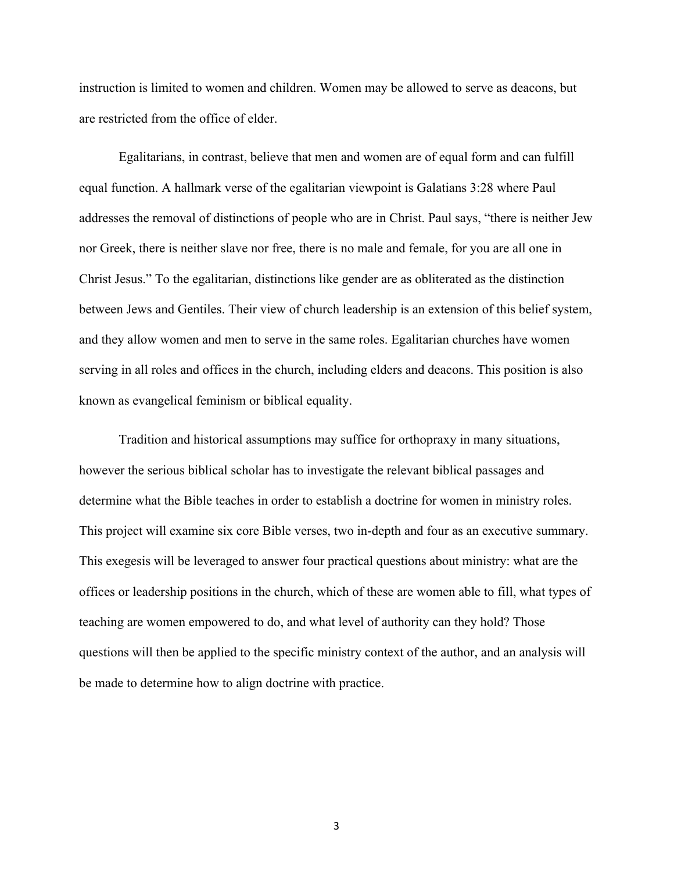instruction is limited to women and children. Women may be allowed to serve as deacons, but are restricted from the office of elder.

Egalitarians, in contrast, believe that men and women are of equal form and can fulfill equal function. A hallmark verse of the egalitarian viewpoint is Galatians 3:28 where Paul addresses the removal of distinctions of people who are in Christ. Paul says, "there is neither Jew nor Greek, there is neither slave nor free, there is no male and female, for you are all one in Christ Jesus." To the egalitarian, distinctions like gender are as obliterated as the distinction between Jews and Gentiles. Their view of church leadership is an extension of this belief system, and they allow women and men to serve in the same roles. Egalitarian churches have women serving in all roles and offices in the church, including elders and deacons. This position is also known as evangelical feminism or biblical equality.

Tradition and historical assumptions may suffice for orthopraxy in many situations, however the serious biblical scholar has to investigate the relevant biblical passages and determine what the Bible teaches in order to establish a doctrine for women in ministry roles. This project will examine six core Bible verses, two in-depth and four as an executive summary. This exegesis will be leveraged to answer four practical questions about ministry: what are the offices or leadership positions in the church, which of these are women able to fill, what types of teaching are women empowered to do, and what level of authority can they hold? Those questions will then be applied to the specific ministry context of the author, and an analysis will be made to determine how to align doctrine with practice.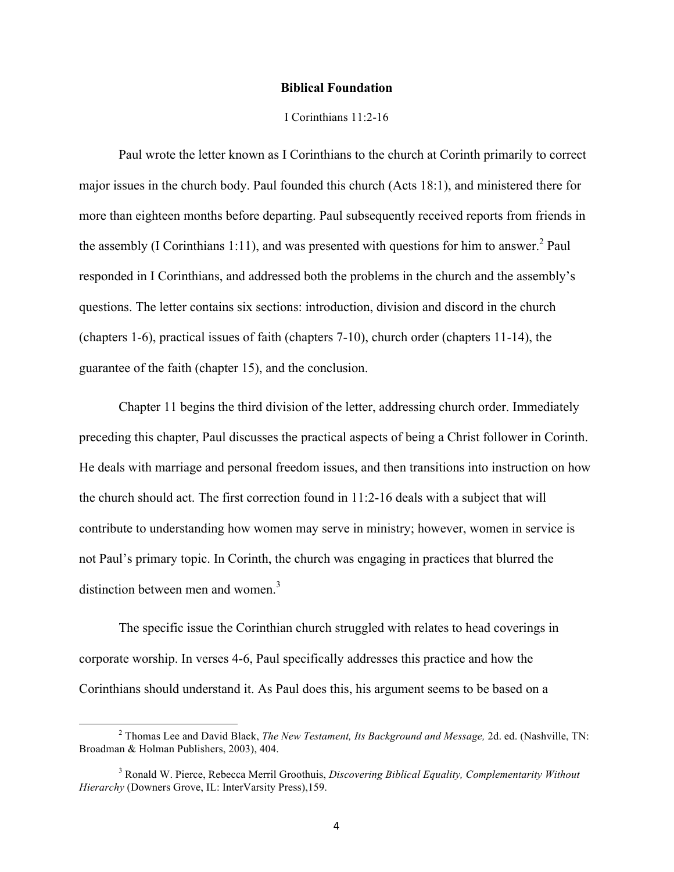#### **Biblical Foundation**

#### I Corinthians 11:2-16

Paul wrote the letter known as I Corinthians to the church at Corinth primarily to correct major issues in the church body. Paul founded this church (Acts 18:1), and ministered there for more than eighteen months before departing. Paul subsequently received reports from friends in the assembly (I Corinthians 1:11), and was presented with questions for him to answer.<sup>2</sup> Paul responded in I Corinthians, and addressed both the problems in the church and the assembly's questions. The letter contains six sections: introduction, division and discord in the church (chapters 1-6), practical issues of faith (chapters 7-10), church order (chapters 11-14), the guarantee of the faith (chapter 15), and the conclusion.

Chapter 11 begins the third division of the letter, addressing church order. Immediately preceding this chapter, Paul discusses the practical aspects of being a Christ follower in Corinth. He deals with marriage and personal freedom issues, and then transitions into instruction on how the church should act. The first correction found in 11:2-16 deals with a subject that will contribute to understanding how women may serve in ministry; however, women in service is not Paul's primary topic. In Corinth, the church was engaging in practices that blurred the distinction between men and women. $3$ 

The specific issue the Corinthian church struggled with relates to head coverings in corporate worship. In verses 4-6, Paul specifically addresses this practice and how the Corinthians should understand it. As Paul does this, his argument seems to be based on a

<sup>2</sup> Thomas Lee and David Black, *The New Testament, Its Background and Message,* 2d. ed. (Nashville, TN: Broadman & Holman Publishers, 2003), 404.

<sup>3</sup> Ronald W. Pierce, Rebecca Merril Groothuis, *Discovering Biblical Equality, Complementarity Without Hierarchy* (Downers Grove, IL: InterVarsity Press),159.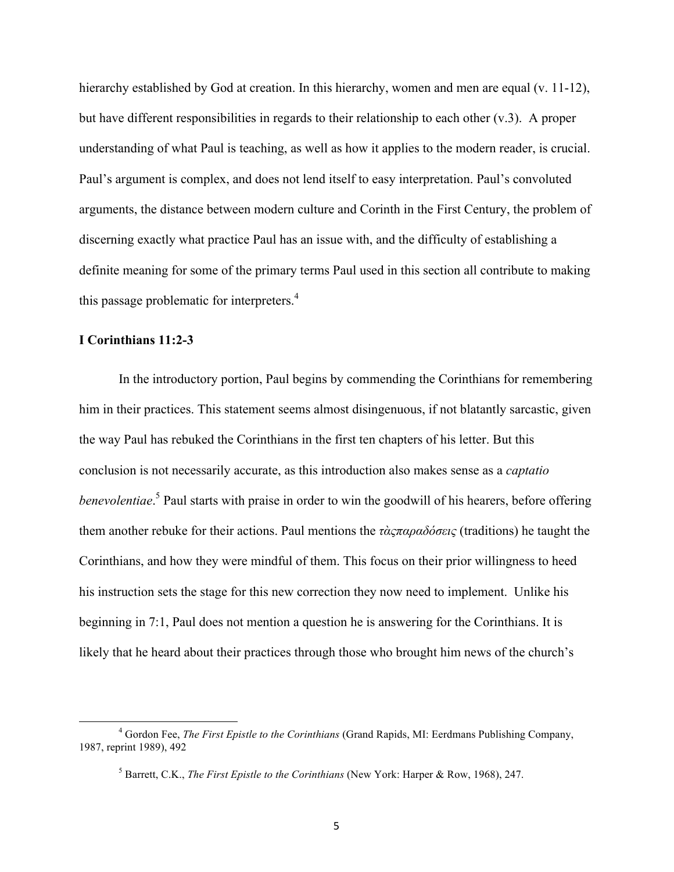hierarchy established by God at creation. In this hierarchy, women and men are equal (v. 11-12), but have different responsibilities in regards to their relationship to each other (v.3). A proper understanding of what Paul is teaching, as well as how it applies to the modern reader, is crucial. Paul's argument is complex, and does not lend itself to easy interpretation. Paul's convoluted arguments, the distance between modern culture and Corinth in the First Century, the problem of discerning exactly what practice Paul has an issue with, and the difficulty of establishing a definite meaning for some of the primary terms Paul used in this section all contribute to making this passage problematic for interpreters.<sup>4</sup>

### **I Corinthians 11:2-3**

 

In the introductory portion, Paul begins by commending the Corinthians for remembering him in their practices. This statement seems almost disingenuous, if not blatantly sarcastic, given the way Paul has rebuked the Corinthians in the first ten chapters of his letter. But this conclusion is not necessarily accurate, as this introduction also makes sense as a *captatio benevolentiae*. <sup>5</sup> Paul starts with praise in order to win the goodwill of his hearers, before offering them another rebuke for their actions. Paul mentions the *τὰςπαραδόσεις* (traditions) he taught the Corinthians, and how they were mindful of them. This focus on their prior willingness to heed his instruction sets the stage for this new correction they now need to implement. Unlike his beginning in 7:1, Paul does not mention a question he is answering for the Corinthians. It is likely that he heard about their practices through those who brought him news of the church's

<sup>4</sup> Gordon Fee, *The First Epistle to the Corinthians* (Grand Rapids, MI: Eerdmans Publishing Company, 1987, reprint 1989), 492

<sup>5</sup> Barrett, C.K., *The First Epistle to the Corinthians* (New York: Harper & Row, 1968), 247.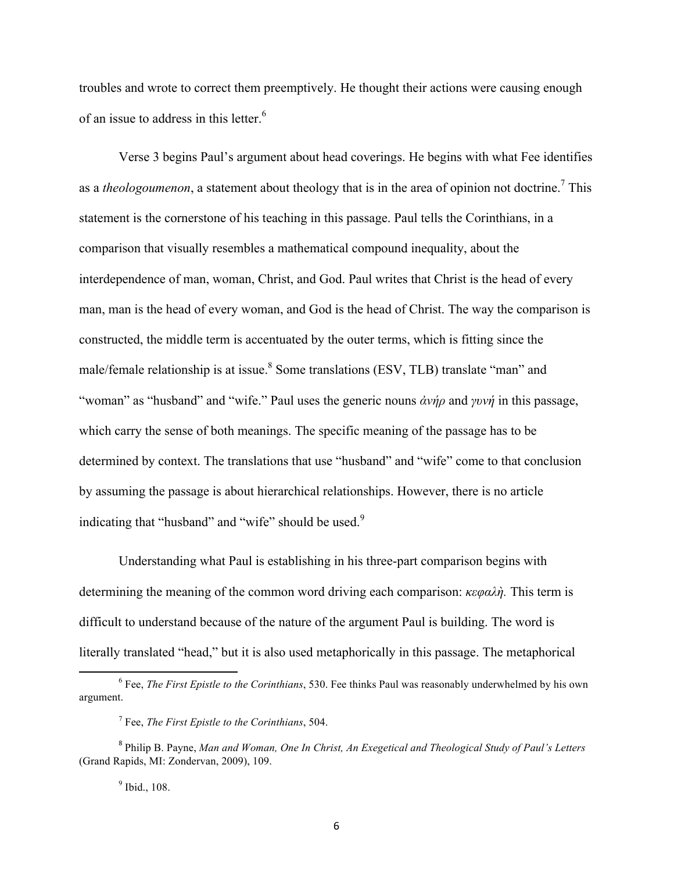troubles and wrote to correct them preemptively. He thought their actions were causing enough of an issue to address in this letter.<sup>6</sup>

Verse 3 begins Paul's argument about head coverings. He begins with what Fee identifies as a *theologoumenon*, a statement about theology that is in the area of opinion not doctrine.<sup>7</sup> This statement is the cornerstone of his teaching in this passage. Paul tells the Corinthians, in a comparison that visually resembles a mathematical compound inequality, about the interdependence of man, woman, Christ, and God. Paul writes that Christ is the head of every man, man is the head of every woman, and God is the head of Christ. The way the comparison is constructed, the middle term is accentuated by the outer terms, which is fitting since the male/female relationship is at issue.<sup>8</sup> Some translations (ESV, TLB) translate "man" and "woman" as "husband" and "wife." Paul uses the generic nouns *ἀνήρ* and *γυνή* in this passage, which carry the sense of both meanings. The specific meaning of the passage has to be determined by context. The translations that use "husband" and "wife" come to that conclusion by assuming the passage is about hierarchical relationships. However, there is no article indicating that "husband" and "wife" should be used.<sup>9</sup>

Understanding what Paul is establishing in his three-part comparison begins with determining the meaning of the common word driving each comparison: *κεφαλὴ.* This term is difficult to understand because of the nature of the argument Paul is building. The word is literally translated "head," but it is also used metaphorically in this passage. The metaphorical

<sup>9</sup> Ibid., 108.

<sup>6</sup> Fee, *The First Epistle to the Corinthians*, 530. Fee thinks Paul was reasonably underwhelmed by his own argument.

<sup>7</sup> Fee, *The First Epistle to the Corinthians*, 504.

<sup>8</sup> Philip B. Payne, *Man and Woman, One In Christ, An Exegetical and Theological Study of Paul's Letters*  (Grand Rapids, MI: Zondervan, 2009), 109.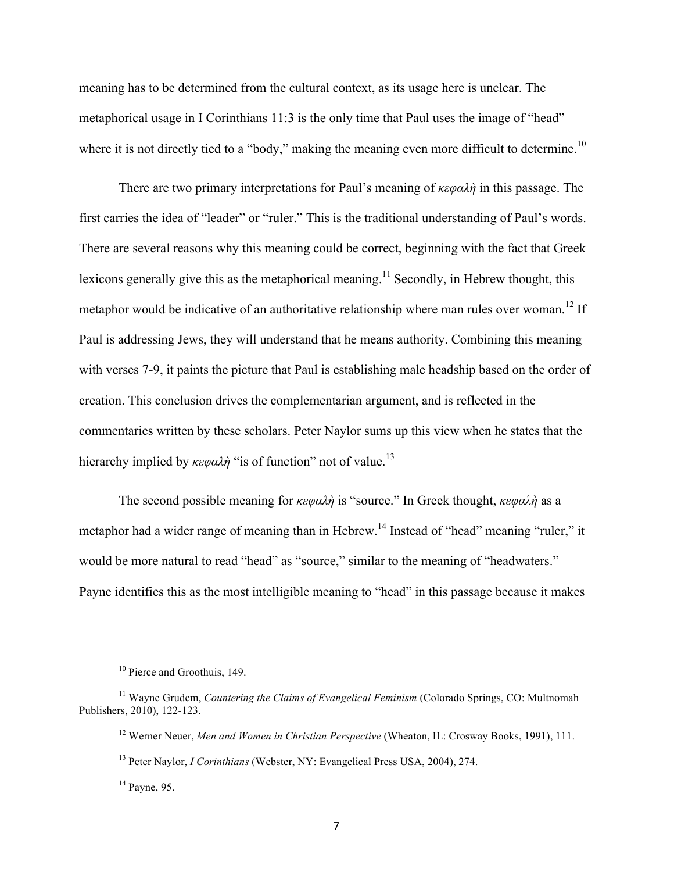meaning has to be determined from the cultural context, as its usage here is unclear. The metaphorical usage in I Corinthians 11:3 is the only time that Paul uses the image of "head" where it is not directly tied to a "body," making the meaning even more difficult to determine.<sup>10</sup>

There are two primary interpretations for Paul's meaning of *κεφαλὴ* in this passage. The first carries the idea of "leader" or "ruler." This is the traditional understanding of Paul's words. There are several reasons why this meaning could be correct, beginning with the fact that Greek lexicons generally give this as the metaphorical meaning.<sup>11</sup> Secondly, in Hebrew thought, this metaphor would be indicative of an authoritative relationship where man rules over woman.<sup>12</sup> If Paul is addressing Jews, they will understand that he means authority. Combining this meaning with verses 7-9, it paints the picture that Paul is establishing male headship based on the order of creation. This conclusion drives the complementarian argument, and is reflected in the commentaries written by these scholars. Peter Naylor sums up this view when he states that the hierarchy implied by *κεφαλή* "is of function" not of value.<sup>13</sup>

The second possible meaning for *κεφαλὴ* is "source." In Greek thought, *κεφαλὴ* as a metaphor had a wider range of meaning than in Hebrew.<sup>14</sup> Instead of "head" meaning "ruler," it would be more natural to read "head" as "source," similar to the meaning of "headwaters." Payne identifies this as the most intelligible meaning to "head" in this passage because it makes

<sup>&</sup>lt;sup>10</sup> Pierce and Groothuis, 149.

<sup>&</sup>lt;sup>11</sup> Wayne Grudem, *Countering the Claims of Evangelical Feminism* (Colorado Springs, CO: Multnomah Publishers, 2010), 122-123.

<sup>12</sup> Werner Neuer, *Men and Women in Christian Perspective* (Wheaton, IL: Crosway Books, 1991), 111.

<sup>13</sup> Peter Naylor, *I Corinthians* (Webster, NY: Evangelical Press USA, 2004), 274.

 $14$  Payne, 95.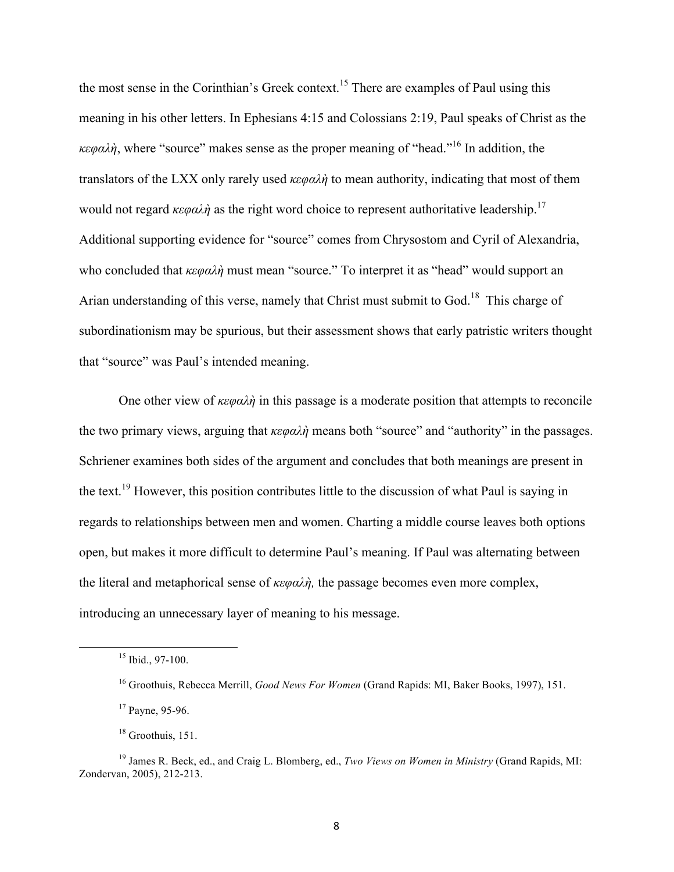the most sense in the Corinthian's Greek context.<sup>15</sup> There are examples of Paul using this meaning in his other letters. In Ephesians 4:15 and Colossians 2:19, Paul speaks of Christ as the *κεφαλὴ*, where "source" makes sense as the proper meaning of "head."<sup>16</sup> In addition, the translators of the LXX only rarely used *κεφαλὴ* to mean authority, indicating that most of them would not regard  $\kappa \epsilon \varphi \alpha \lambda \dot{\eta}$  as the right word choice to represent authoritative leadership.<sup>17</sup> Additional supporting evidence for "source" comes from Chrysostom and Cyril of Alexandria, who concluded that *κεφαλὴ* must mean "source." To interpret it as "head" would support an Arian understanding of this verse, namely that Christ must submit to God.<sup>18</sup> This charge of subordinationism may be spurious, but their assessment shows that early patristic writers thought that "source" was Paul's intended meaning.

One other view of *κεφαλὴ* in this passage is a moderate position that attempts to reconcile the two primary views, arguing that *κεφαλὴ* means both "source" and "authority" in the passages. Schriener examines both sides of the argument and concludes that both meanings are present in the text.<sup>19</sup> However, this position contributes little to the discussion of what Paul is saying in regards to relationships between men and women. Charting a middle course leaves both options open, but makes it more difficult to determine Paul's meaning. If Paul was alternating between the literal and metaphorical sense of *κεφαλὴ,* the passage becomes even more complex, introducing an unnecessary layer of meaning to his message.

<sup>&</sup>lt;u> 1989 - Jan Samuel Barbara, margaret e</u> <sup>15</sup> Ibid., 97-100.

<sup>16</sup> Groothuis, Rebecca Merrill, *Good News For Women* (Grand Rapids: MI, Baker Books, 1997), 151.

 $17$  Payne, 95-96.

 $18$  Groothuis, 151.

<sup>19</sup> James R. Beck, ed., and Craig L. Blomberg, ed., *Two Views on Women in Ministry* (Grand Rapids, MI: Zondervan, 2005), 212-213.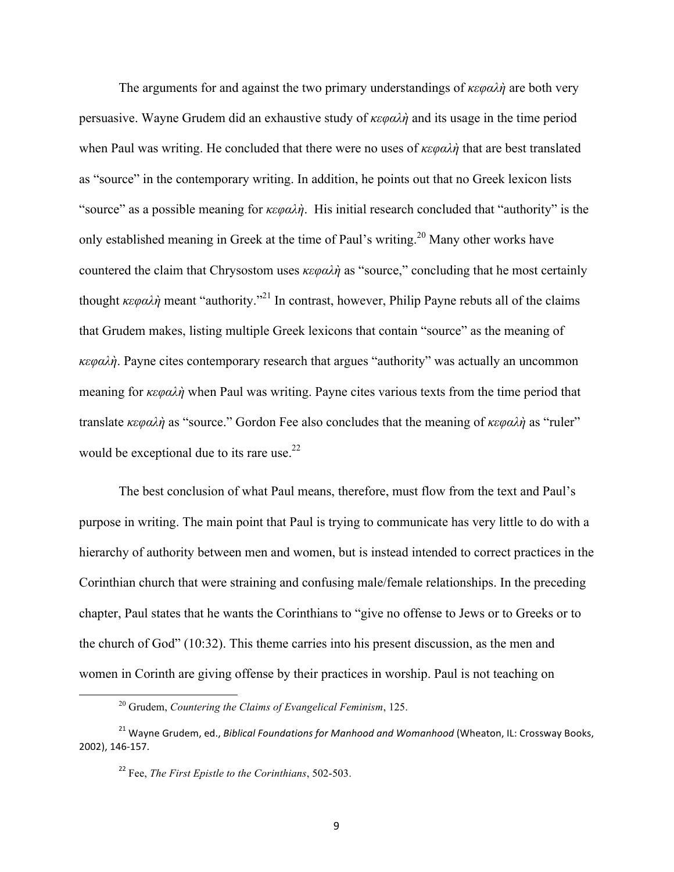The arguments for and against the two primary understandings of *κεφαλὴ* are both very persuasive. Wayne Grudem did an exhaustive study of *κεφαλὴ* and its usage in the time period when Paul was writing. He concluded that there were no uses of *κεφαλὴ* that are best translated as "source" in the contemporary writing. In addition, he points out that no Greek lexicon lists "source" as a possible meaning for *κεφαλὴ*. His initial research concluded that "authority" is the only established meaning in Greek at the time of Paul's writing.<sup>20</sup> Many other works have countered the claim that Chrysostom uses *κεφαλὴ* as "source," concluding that he most certainly thought *κεφαλὴ* meant "authority." <sup>21</sup> In contrast, however, Philip Payne rebuts all of the claims that Grudem makes, listing multiple Greek lexicons that contain "source" as the meaning of *κεφαλὴ*. Payne cites contemporary research that argues "authority" was actually an uncommon meaning for *κεφαλὴ* when Paul was writing. Payne cites various texts from the time period that translate *κεφαλὴ* as "source." Gordon Fee also concludes that the meaning of *κεφαλὴ* as "ruler" would be exceptional due to its rare use.<sup>22</sup>

The best conclusion of what Paul means, therefore, must flow from the text and Paul's purpose in writing. The main point that Paul is trying to communicate has very little to do with a hierarchy of authority between men and women, but is instead intended to correct practices in the Corinthian church that were straining and confusing male/female relationships. In the preceding chapter, Paul states that he wants the Corinthians to "give no offense to Jews or to Greeks or to the church of God" (10:32). This theme carries into his present discussion, as the men and women in Corinth are giving offense by their practices in worship. Paul is not teaching on

<u> 1989 - Jan Samuel Barbara, margaret e</u>

<sup>20</sup> Grudem, *Countering the Claims of Evangelical Feminism*, 125.

<sup>&</sup>lt;sup>21</sup> Wavne Grudem, ed., *Biblical Foundations for Manhood and Womanhood* (Wheaton, IL: Crossway Books, 2002), 146-157.

<sup>22</sup> Fee, *The First Epistle to the Corinthians*, 502-503.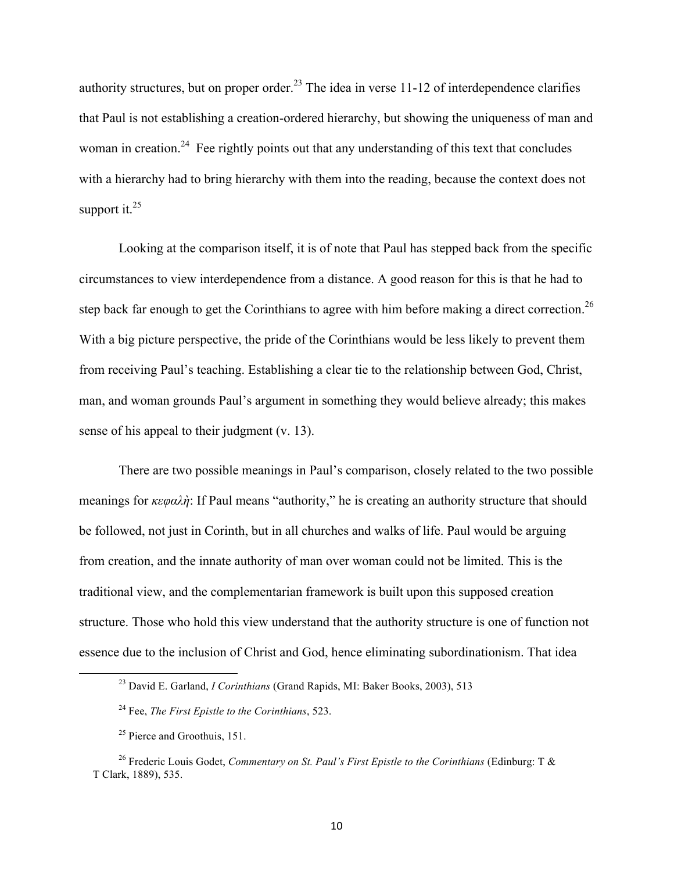authority structures, but on proper order.<sup>23</sup> The idea in verse 11-12 of interdependence clarifies that Paul is not establishing a creation-ordered hierarchy, but showing the uniqueness of man and woman in creation.<sup>24</sup> Fee rightly points out that any understanding of this text that concludes with a hierarchy had to bring hierarchy with them into the reading, because the context does not support it. $25$ 

Looking at the comparison itself, it is of note that Paul has stepped back from the specific circumstances to view interdependence from a distance. A good reason for this is that he had to step back far enough to get the Corinthians to agree with him before making a direct correction.<sup>26</sup> With a big picture perspective, the pride of the Corinthians would be less likely to prevent them from receiving Paul's teaching. Establishing a clear tie to the relationship between God, Christ, man, and woman grounds Paul's argument in something they would believe already; this makes sense of his appeal to their judgment (v. 13).

There are two possible meanings in Paul's comparison, closely related to the two possible meanings for *κεφαλὴ*: If Paul means "authority," he is creating an authority structure that should be followed, not just in Corinth, but in all churches and walks of life. Paul would be arguing from creation, and the innate authority of man over woman could not be limited. This is the traditional view, and the complementarian framework is built upon this supposed creation structure. Those who hold this view understand that the authority structure is one of function not essence due to the inclusion of Christ and God, hence eliminating subordinationism. That idea

<sup>23</sup> David E. Garland, *I Corinthians* (Grand Rapids, MI: Baker Books, 2003), 513

<sup>24</sup> Fee, *The First Epistle to the Corinthians*, 523.

 $25$  Pierce and Groothuis, 151.

<sup>26</sup> Frederic Louis Godet, *Commentary on St. Paul's First Epistle to the Corinthians* (Edinburg: T & T Clark, 1889), 535.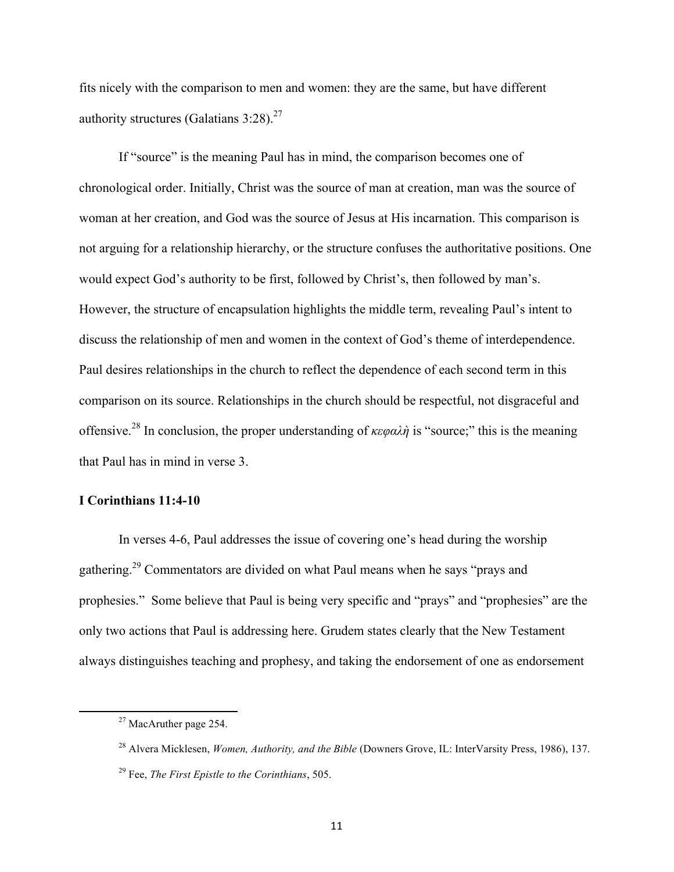fits nicely with the comparison to men and women: they are the same, but have different authority structures (Galatians  $3:28$ ).<sup>27</sup>

If "source" is the meaning Paul has in mind, the comparison becomes one of chronological order. Initially, Christ was the source of man at creation, man was the source of woman at her creation, and God was the source of Jesus at His incarnation. This comparison is not arguing for a relationship hierarchy, or the structure confuses the authoritative positions. One would expect God's authority to be first, followed by Christ's, then followed by man's. However, the structure of encapsulation highlights the middle term, revealing Paul's intent to discuss the relationship of men and women in the context of God's theme of interdependence. Paul desires relationships in the church to reflect the dependence of each second term in this comparison on its source. Relationships in the church should be respectful, not disgraceful and offensive.<sup>28</sup> In conclusion, the proper understanding of *κεφαλὴ* is "source;" this is the meaning that Paul has in mind in verse 3.

#### **I Corinthians 11:4-10**

In verses 4-6, Paul addresses the issue of covering one's head during the worship gathering.<sup>29</sup> Commentators are divided on what Paul means when he says "prays and prophesies." Some believe that Paul is being very specific and "prays" and "prophesies" are the only two actions that Paul is addressing here. Grudem states clearly that the New Testament always distinguishes teaching and prophesy, and taking the endorsement of one as endorsement

<sup>&</sup>lt;sup>27</sup> MacAruther page 254.

<sup>28</sup> Alvera Micklesen, *Women, Authority, and the Bible* (Downers Grove, IL: InterVarsity Press, 1986), 137. <sup>29</sup> Fee, *The First Epistle to the Corinthians*, 505.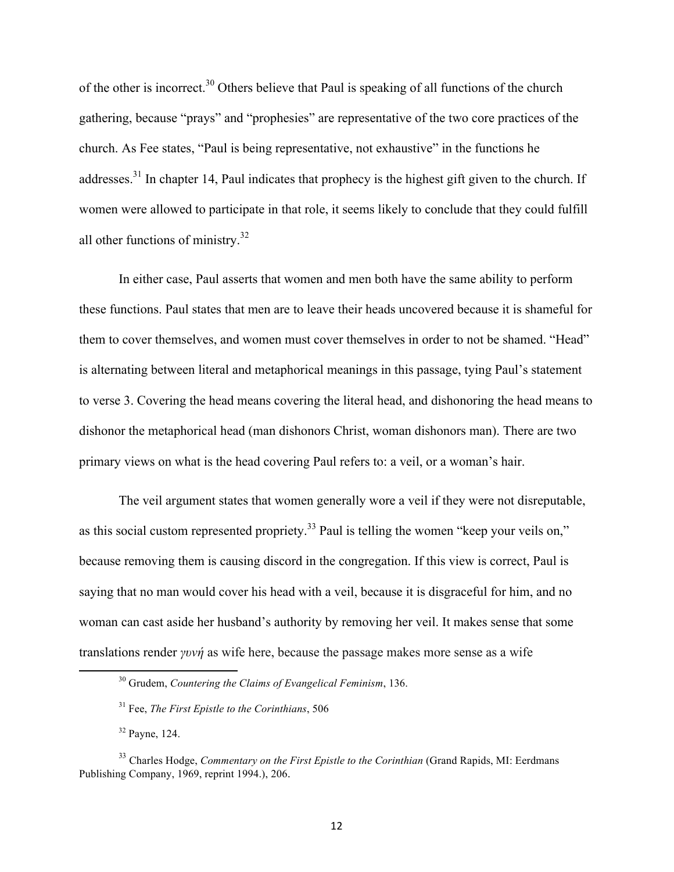of the other is incorrect.<sup>30</sup> Others believe that Paul is speaking of all functions of the church gathering, because "prays" and "prophesies" are representative of the two core practices of the church. As Fee states, "Paul is being representative, not exhaustive" in the functions he addresses.<sup>31</sup> In chapter 14, Paul indicates that prophecy is the highest gift given to the church. If women were allowed to participate in that role, it seems likely to conclude that they could fulfill all other functions of ministry.<sup>32</sup>

In either case, Paul asserts that women and men both have the same ability to perform these functions. Paul states that men are to leave their heads uncovered because it is shameful for them to cover themselves, and women must cover themselves in order to not be shamed. "Head" is alternating between literal and metaphorical meanings in this passage, tying Paul's statement to verse 3. Covering the head means covering the literal head, and dishonoring the head means to dishonor the metaphorical head (man dishonors Christ, woman dishonors man). There are two primary views on what is the head covering Paul refers to: a veil, or a woman's hair.

The veil argument states that women generally wore a veil if they were not disreputable, as this social custom represented propriety.<sup>33</sup> Paul is telling the women "keep your veils on," because removing them is causing discord in the congregation. If this view is correct, Paul is saying that no man would cover his head with a veil, because it is disgraceful for him, and no woman can cast aside her husband's authority by removing her veil. It makes sense that some translations render *γυνή* as wife here, because the passage makes more sense as a wife

<sup>30</sup> Grudem, *Countering the Claims of Evangelical Feminism*, 136.

<sup>31</sup> Fee, *The First Epistle to the Corinthians*, 506

<sup>32</sup> Payne, 124.

<sup>&</sup>lt;sup>33</sup> Charles Hodge, *Commentary on the First Epistle to the Corinthian* (Grand Rapids, MI: Eerdmans Publishing Company, 1969, reprint 1994.), 206.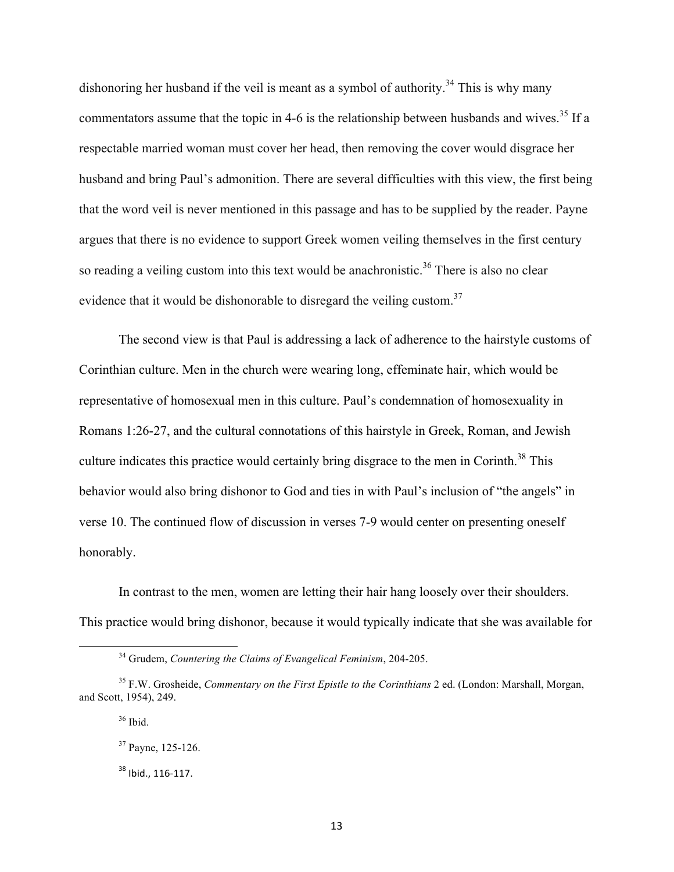dishonoring her husband if the veil is meant as a symbol of authority.<sup>34</sup> This is why many commentators assume that the topic in 4-6 is the relationship between husbands and wives.<sup>35</sup> If a respectable married woman must cover her head, then removing the cover would disgrace her husband and bring Paul's admonition. There are several difficulties with this view, the first being that the word veil is never mentioned in this passage and has to be supplied by the reader. Payne argues that there is no evidence to support Greek women veiling themselves in the first century so reading a veiling custom into this text would be anachronistic.<sup>36</sup> There is also no clear evidence that it would be dishonorable to disregard the veiling custom.<sup>37</sup>

The second view is that Paul is addressing a lack of adherence to the hairstyle customs of Corinthian culture. Men in the church were wearing long, effeminate hair, which would be representative of homosexual men in this culture. Paul's condemnation of homosexuality in Romans 1:26-27, and the cultural connotations of this hairstyle in Greek, Roman, and Jewish culture indicates this practice would certainly bring disgrace to the men in Corinth.<sup>38</sup> This behavior would also bring dishonor to God and ties in with Paul's inclusion of "the angels" in verse 10. The continued flow of discussion in verses 7-9 would center on presenting oneself honorably.

In contrast to the men, women are letting their hair hang loosely over their shoulders. This practice would bring dishonor, because it would typically indicate that she was available for

<sup>34</sup> Grudem, *Countering the Claims of Evangelical Feminism*, 204-205.

<sup>35</sup> F.W. Grosheide, *Commentary on the First Epistle to the Corinthians* 2 ed. (London: Marshall, Morgan, and Scott, 1954), 249.

 $36$  Ibid.

<sup>37</sup> Payne, 125-126.

<sup>&</sup>lt;sup>38</sup> Ibid., 116-117.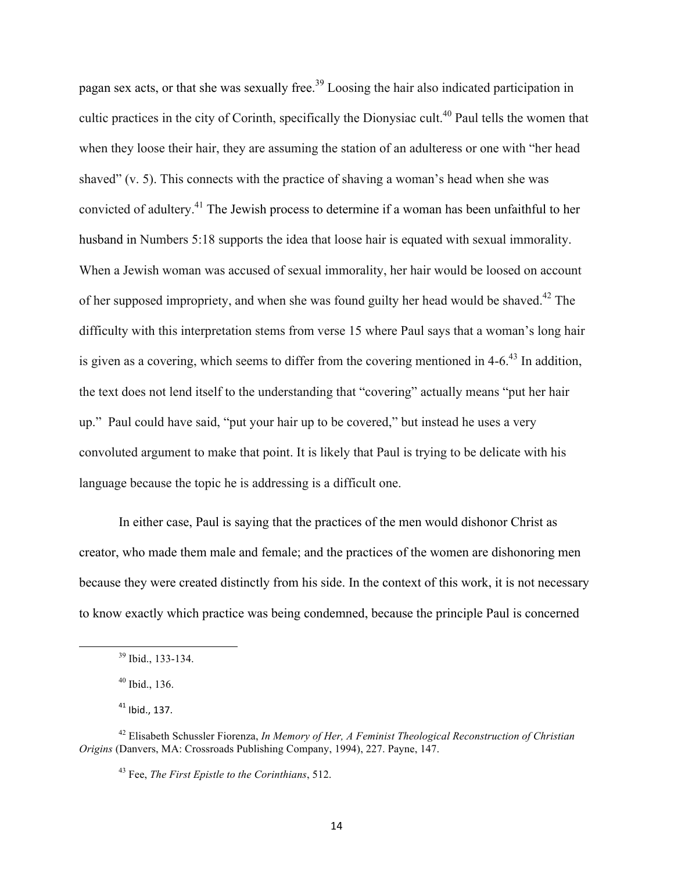pagan sex acts, or that she was sexually free.<sup>39</sup> Loosing the hair also indicated participation in cultic practices in the city of Corinth, specifically the Dionysiac cult.<sup>40</sup> Paul tells the women that when they loose their hair, they are assuming the station of an adulteress or one with "her head shaved" (v. 5). This connects with the practice of shaving a woman's head when she was convicted of adultery.41 The Jewish process to determine if a woman has been unfaithful to her husband in Numbers 5:18 supports the idea that loose hair is equated with sexual immorality. When a Jewish woman was accused of sexual immorality, her hair would be loosed on account of her supposed impropriety, and when she was found guilty her head would be shaved.<sup>42</sup> The difficulty with this interpretation stems from verse 15 where Paul says that a woman's long hair is given as a covering, which seems to differ from the covering mentioned in  $4-6<sup>43</sup>$  In addition, the text does not lend itself to the understanding that "covering" actually means "put her hair up." Paul could have said, "put your hair up to be covered," but instead he uses a very convoluted argument to make that point. It is likely that Paul is trying to be delicate with his language because the topic he is addressing is a difficult one.

In either case, Paul is saying that the practices of the men would dishonor Christ as creator, who made them male and female; and the practices of the women are dishonoring men because they were created distinctly from his side. In the context of this work, it is not necessary to know exactly which practice was being condemned, because the principle Paul is concerned

<sup>&</sup>lt;u> 1989 - Jan Samuel Barbara, margaret e</u> <sup>39</sup> Ibid., 133-134.

 $40$  Ibid., 136.

 $41$  Ibid., 137.

<sup>42</sup> Elisabeth Schussler Fiorenza, *In Memory of Her, A Feminist Theological Reconstruction of Christian Origins* (Danvers, MA: Crossroads Publishing Company, 1994), 227. Payne, 147.

<sup>43</sup> Fee, *The First Epistle to the Corinthians*, 512.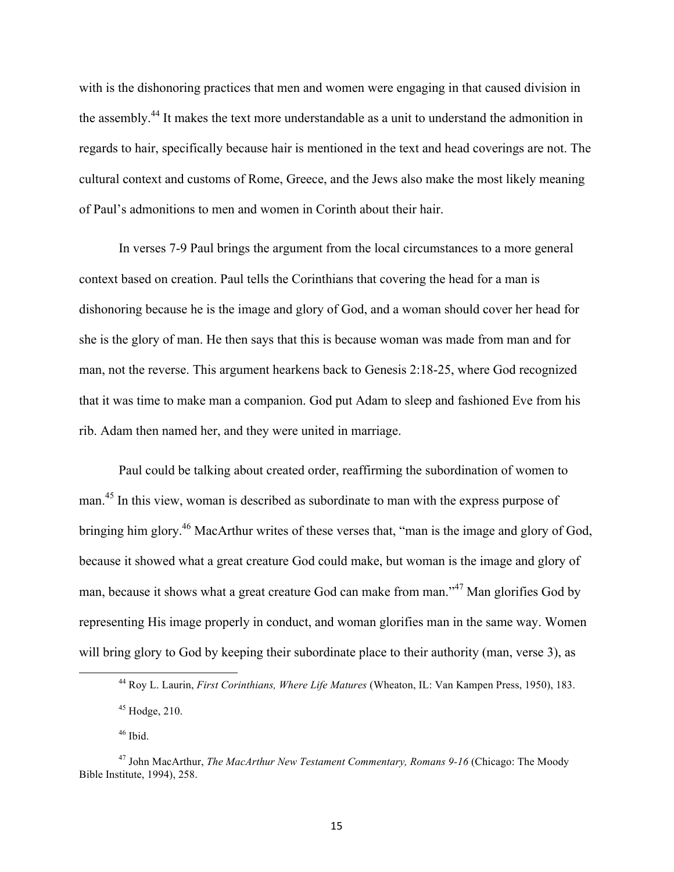with is the dishonoring practices that men and women were engaging in that caused division in the assembly.<sup>44</sup> It makes the text more understandable as a unit to understand the admonition in regards to hair, specifically because hair is mentioned in the text and head coverings are not. The cultural context and customs of Rome, Greece, and the Jews also make the most likely meaning of Paul's admonitions to men and women in Corinth about their hair.

In verses 7-9 Paul brings the argument from the local circumstances to a more general context based on creation. Paul tells the Corinthians that covering the head for a man is dishonoring because he is the image and glory of God, and a woman should cover her head for she is the glory of man. He then says that this is because woman was made from man and for man, not the reverse. This argument hearkens back to Genesis 2:18-25, where God recognized that it was time to make man a companion. God put Adam to sleep and fashioned Eve from his rib. Adam then named her, and they were united in marriage.

Paul could be talking about created order, reaffirming the subordination of women to man.<sup>45</sup> In this view, woman is described as subordinate to man with the express purpose of bringing him glory.46 MacArthur writes of these verses that, "man is the image and glory of God, because it showed what a great creature God could make, but woman is the image and glory of man, because it shows what a great creature God can make from man."<sup>47</sup> Man glorifies God by representing His image properly in conduct, and woman glorifies man in the same way. Women will bring glory to God by keeping their subordinate place to their authority (man, verse 3), as

<sup>44</sup> Roy L. Laurin, *First Corinthians, Where Life Matures* (Wheaton, IL: Van Kampen Press, 1950), 183.

 $45$  Hodge, 210.

<sup>46</sup> Ibid.

<sup>&</sup>lt;sup>47</sup> John MacArthur, *The MacArthur New Testament Commentary, Romans 9-16* (Chicago: The Moody Bible Institute, 1994), 258.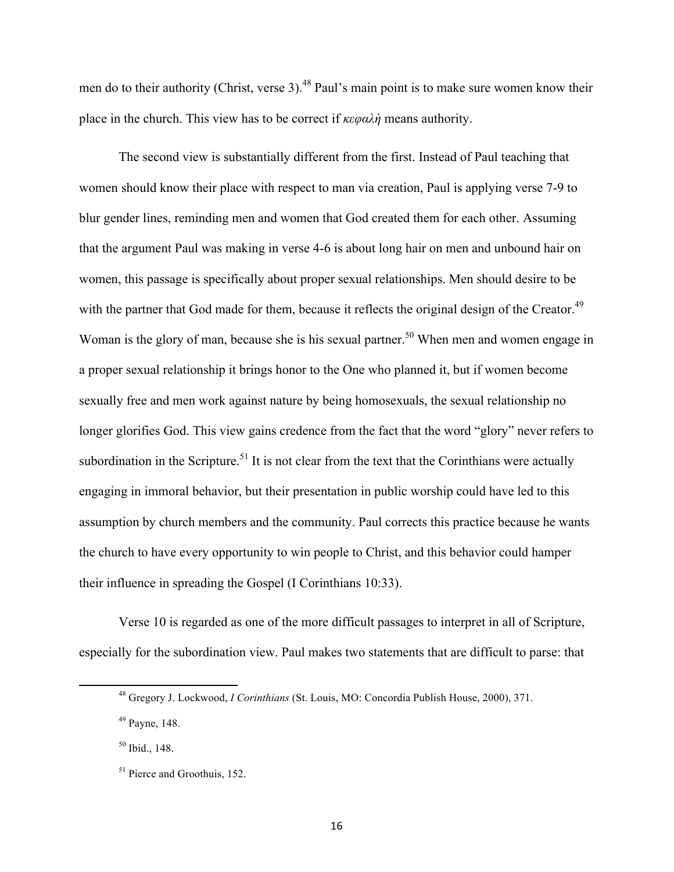men do to their authority (Christ, verse 3).<sup>48</sup> Paul's main point is to make sure women know their place in the church. This view has to be correct if *κεφαλὴ* means authority.

The second view is substantially different from the first. Instead of Paul teaching that women should know their place with respect to man via creation, Paul is applying verse 7-9 to blur gender lines, reminding men and women that God created them for each other. Assuming that the argument Paul was making in verse 4-6 is about long hair on men and unbound hair on women, this passage is specifically about proper sexual relationships. Men should desire to be with the partner that God made for them, because it reflects the original design of the Creator.<sup>49</sup> Woman is the glory of man, because she is his sexual partner.<sup>50</sup> When men and women engage in a proper sexual relationship it brings honor to the One who planned it, but if women become sexually free and men work against nature by being homosexuals, the sexual relationship no longer glorifies God. This view gains credence from the fact that the word "glory" never refers to subordination in the Scripture.<sup>51</sup> It is not clear from the text that the Corinthians were actually engaging in immoral behavior, but their presentation in public worship could have led to this assumption by church members and the community. Paul corrects this practice because he wants the church to have every opportunity to win people to Christ, and this behavior could hamper their influence in spreading the Gospel (I Corinthians 10:33).

Verse 10 is regarded as one of the more difficult passages to interpret in all of Scripture, especially for the subordination view. Paul makes two statements that are difficult to parse: that

<sup>48</sup> Gregory J. Lockwood, *I Corinthians* (St. Louis, MO: Concordia Publish House, 2000), 371.

<sup>49</sup> Payne, 148.

<sup>50</sup> Ibid., 148.

<sup>&</sup>lt;sup>51</sup> Pierce and Groothuis, 152.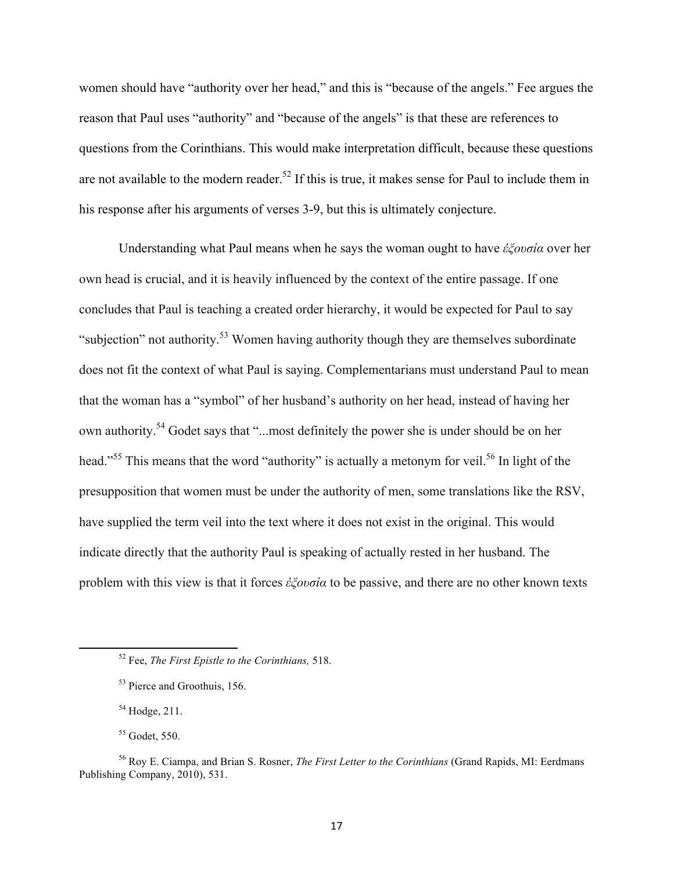women should have "authority over her head," and this is "because of the angels." Fee argues the reason that Paul uses "authority" and "because of the angels" is that these are references to questions from the Corinthians. This would make interpretation difficult, because these questions are not available to the modern reader.<sup>52</sup> If this is true, it makes sense for Paul to include them in his response after his arguments of verses 3-9, but this is ultimately conjecture.

Understanding what Paul means when he says the woman ought to have *ἐξουσία* over her own head is crucial, and it is heavily influenced by the context of the entire passage. If one concludes that Paul is teaching a created order hierarchy, it would be expected for Paul to say "subjection" not authority.<sup>53</sup> Women having authority though they are themselves subordinate does not fit the context of what Paul is saying. Complementarians must understand Paul to mean that the woman has a "symbol" of her husband's authority on her head, instead of having her own authority.<sup>54</sup> Godet says that "...most definitely the power she is under should be on her head."<sup>55</sup> This means that the word "authority" is actually a metonym for veil.<sup>56</sup> In light of the presupposition that women must be under the authority of men, some translations like the RSV, have supplied the term veil into the text where it does not exist in the original. This would indicate directly that the authority Paul is speaking of actually rested in her husband. The problem with this view is that it forces *ἐξουσία* to be passive, and there are no other known texts

<sup>54</sup> Hodge, 211.

<u> 1989 - Jan Samuel Barbara, margaret e</u>

<sup>55</sup> Godet, 550.

<sup>52</sup> Fee, *The First Epistle to the Corinthians,* 518.

<sup>53</sup> Pierce and Groothuis, 156.

<sup>56</sup> Roy E. Ciampa, and Brian S. Rosner, *The First Letter to the Corinthians* (Grand Rapids, MI: Eerdmans Publishing Company, 2010), 531.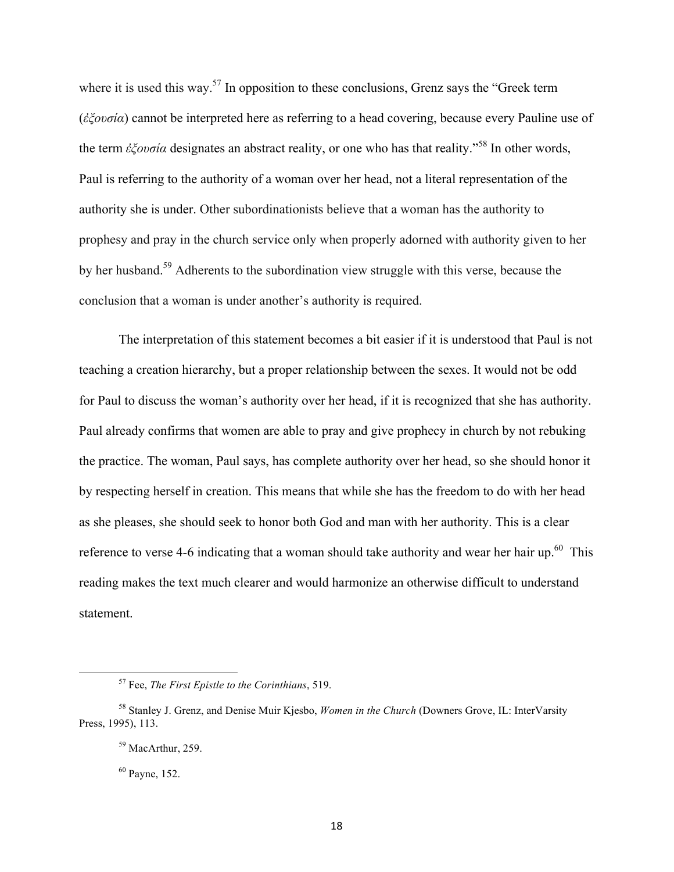where it is used this way.<sup>57</sup> In opposition to these conclusions, Grenz says the "Greek term" (*ἐξουσία*) cannot be interpreted here as referring to a head covering, because every Pauline use of the term *ἐξουσία* designates an abstract reality, or one who has that reality."<sup>58</sup> In other words, Paul is referring to the authority of a woman over her head, not a literal representation of the authority she is under. Other subordinationists believe that a woman has the authority to prophesy and pray in the church service only when properly adorned with authority given to her by her husband.<sup>59</sup> Adherents to the subordination view struggle with this verse, because the conclusion that a woman is under another's authority is required.

The interpretation of this statement becomes a bit easier if it is understood that Paul is not teaching a creation hierarchy, but a proper relationship between the sexes. It would not be odd for Paul to discuss the woman's authority over her head, if it is recognized that she has authority. Paul already confirms that women are able to pray and give prophecy in church by not rebuking the practice. The woman, Paul says, has complete authority over her head, so she should honor it by respecting herself in creation. This means that while she has the freedom to do with her head as she pleases, she should seek to honor both God and man with her authority. This is a clear reference to verse 4-6 indicating that a woman should take authority and wear her hair up.<sup>60</sup> This reading makes the text much clearer and would harmonize an otherwise difficult to understand statement.

<sup>57</sup> Fee, *The First Epistle to the Corinthians*, 519.

<sup>58</sup> Stanley J. Grenz, and Denise Muir Kjesbo, *Women in the Church* (Downers Grove, IL: InterVarsity Press, 1995), 113.

<sup>59</sup> MacArthur, 259.

<sup>60</sup> Payne, 152.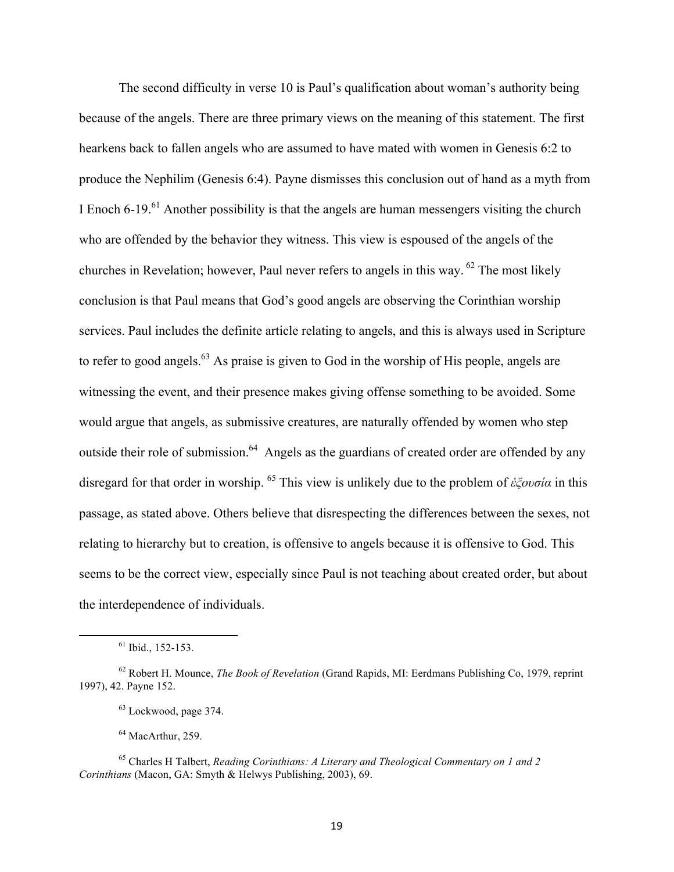The second difficulty in verse 10 is Paul's qualification about woman's authority being because of the angels. There are three primary views on the meaning of this statement. The first hearkens back to fallen angels who are assumed to have mated with women in Genesis 6:2 to produce the Nephilim (Genesis 6:4). Payne dismisses this conclusion out of hand as a myth from I Enoch  $6-19$ .<sup>61</sup> Another possibility is that the angels are human messengers visiting the church who are offended by the behavior they witness. This view is espoused of the angels of the churches in Revelation; however, Paul never refers to angels in this way. <sup>62</sup> The most likely conclusion is that Paul means that God's good angels are observing the Corinthian worship services. Paul includes the definite article relating to angels, and this is always used in Scripture to refer to good angels.<sup>63</sup> As praise is given to God in the worship of His people, angels are witnessing the event, and their presence makes giving offense something to be avoided. Some would argue that angels, as submissive creatures, are naturally offended by women who step outside their role of submission.<sup>64</sup> Angels as the guardians of created order are offended by any disregard for that order in worship. 65 This view is unlikely due to the problem of *ἐξουσία* in this passage, as stated above. Others believe that disrespecting the differences between the sexes, not relating to hierarchy but to creation, is offensive to angels because it is offensive to God. This seems to be the correct view, especially since Paul is not teaching about created order, but about the interdependence of individuals.

<sup>64</sup> MacArthur, 259.

<sup>&</sup>lt;u> 1989 - Jan Samuel Barbara, margaret e</u>  $61$  Ibid., 152-153.

<sup>62</sup> Robert H. Mounce, *The Book of Revelation* (Grand Rapids, MI: Eerdmans Publishing Co, 1979, reprint 1997), 42. Payne 152.

<sup>63</sup> Lockwood, page 374.

<sup>65</sup> Charles H Talbert, *Reading Corinthians: A Literary and Theological Commentary on 1 and 2 Corinthians* (Macon, GA: Smyth & Helwys Publishing, 2003), 69.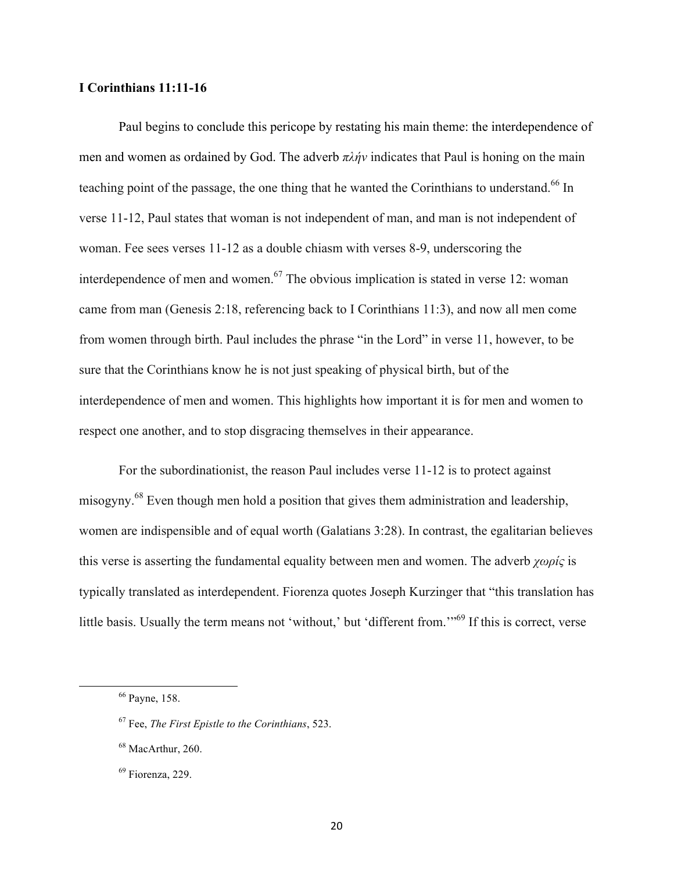### **I Corinthians 11:11-16**

Paul begins to conclude this pericope by restating his main theme: the interdependence of men and women as ordained by God. The adverb *πλήν* indicates that Paul is honing on the main teaching point of the passage, the one thing that he wanted the Corinthians to understand.<sup>66</sup> In verse 11-12, Paul states that woman is not independent of man, and man is not independent of woman. Fee sees verses 11-12 as a double chiasm with verses 8-9, underscoring the interdependence of men and women.<sup>67</sup> The obvious implication is stated in verse 12: woman came from man (Genesis 2:18, referencing back to I Corinthians 11:3), and now all men come from women through birth. Paul includes the phrase "in the Lord" in verse 11, however, to be sure that the Corinthians know he is not just speaking of physical birth, but of the interdependence of men and women. This highlights how important it is for men and women to respect one another, and to stop disgracing themselves in their appearance.

For the subordinationist, the reason Paul includes verse 11-12 is to protect against misogyny.<sup>68</sup> Even though men hold a position that gives them administration and leadership, women are indispensible and of equal worth (Galatians 3:28). In contrast, the egalitarian believes this verse is asserting the fundamental equality between men and women. The adverb *χωρίς* is typically translated as interdependent. Fiorenza quotes Joseph Kurzinger that "this translation has little basis. Usually the term means not 'without,' but 'different from."<sup>69</sup> If this is correct, verse

<sup>66</sup> Payne, 158.

<sup>67</sup> Fee, *The First Epistle to the Corinthians*, 523.

<sup>68</sup> MacArthur, 260.

<sup>69</sup> Fiorenza, 229.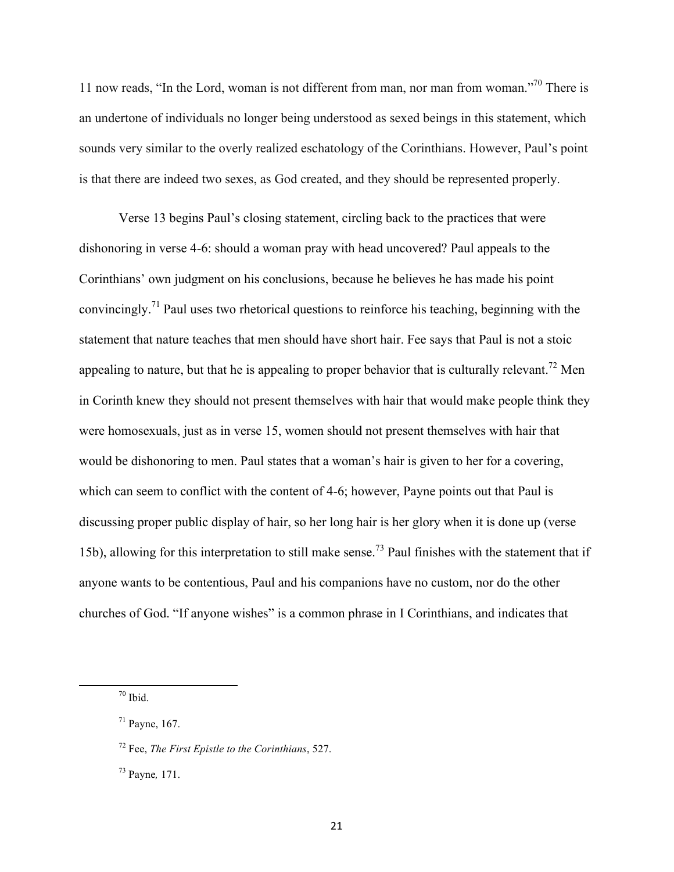11 now reads, "In the Lord, woman is not different from man, nor man from woman."<sup>70</sup> There is an undertone of individuals no longer being understood as sexed beings in this statement, which sounds very similar to the overly realized eschatology of the Corinthians. However, Paul's point is that there are indeed two sexes, as God created, and they should be represented properly.

Verse 13 begins Paul's closing statement, circling back to the practices that were dishonoring in verse 4-6: should a woman pray with head uncovered? Paul appeals to the Corinthians' own judgment on his conclusions, because he believes he has made his point convincingly. <sup>71</sup> Paul uses two rhetorical questions to reinforce his teaching, beginning with the statement that nature teaches that men should have short hair. Fee says that Paul is not a stoic appealing to nature, but that he is appealing to proper behavior that is culturally relevant.<sup>72</sup> Men in Corinth knew they should not present themselves with hair that would make people think they were homosexuals, just as in verse 15, women should not present themselves with hair that would be dishonoring to men. Paul states that a woman's hair is given to her for a covering, which can seem to conflict with the content of 4-6; however, Payne points out that Paul is discussing proper public display of hair, so her long hair is her glory when it is done up (verse 15b), allowing for this interpretation to still make sense.<sup>73</sup> Paul finishes with the statement that if anyone wants to be contentious, Paul and his companions have no custom, nor do the other churches of God. "If anyone wishes" is a common phrase in I Corinthians, and indicates that

 $70$  Ibid.

<sup>71</sup> Payne, 167.

<sup>72</sup> Fee, *The First Epistle to the Corinthians*, 527.

<sup>73</sup> Payne*,* 171.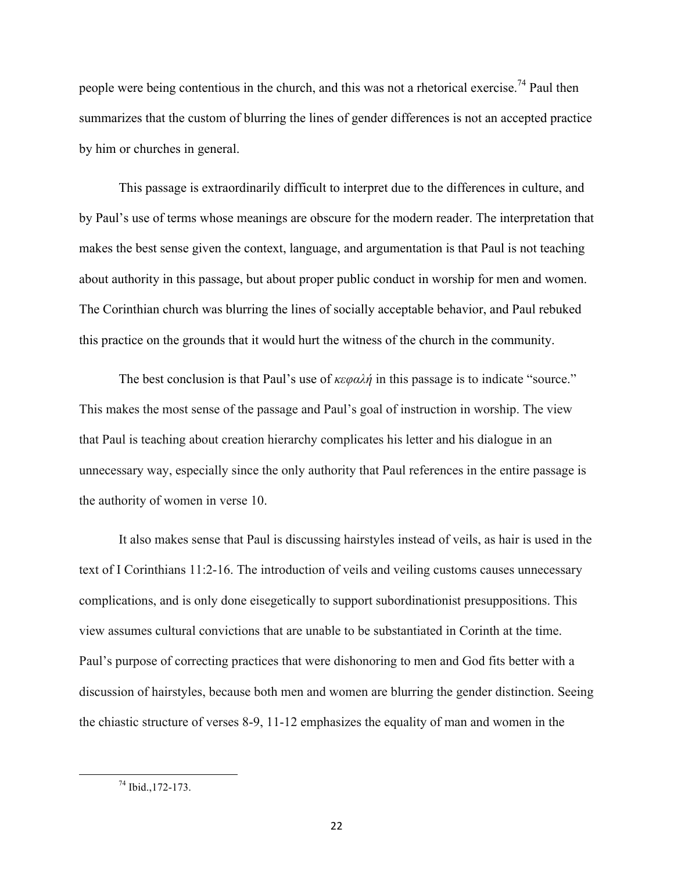people were being contentious in the church, and this was not a rhetorical exercise.<sup>74</sup> Paul then summarizes that the custom of blurring the lines of gender differences is not an accepted practice by him or churches in general.

This passage is extraordinarily difficult to interpret due to the differences in culture, and by Paul's use of terms whose meanings are obscure for the modern reader. The interpretation that makes the best sense given the context, language, and argumentation is that Paul is not teaching about authority in this passage, but about proper public conduct in worship for men and women. The Corinthian church was blurring the lines of socially acceptable behavior, and Paul rebuked this practice on the grounds that it would hurt the witness of the church in the community.

The best conclusion is that Paul's use of *κεφαλή* in this passage is to indicate "source." This makes the most sense of the passage and Paul's goal of instruction in worship. The view that Paul is teaching about creation hierarchy complicates his letter and his dialogue in an unnecessary way, especially since the only authority that Paul references in the entire passage is the authority of women in verse 10.

It also makes sense that Paul is discussing hairstyles instead of veils, as hair is used in the text of I Corinthians 11:2-16. The introduction of veils and veiling customs causes unnecessary complications, and is only done eisegetically to support subordinationist presuppositions. This view assumes cultural convictions that are unable to be substantiated in Corinth at the time. Paul's purpose of correcting practices that were dishonoring to men and God fits better with a discussion of hairstyles, because both men and women are blurring the gender distinction. Seeing the chiastic structure of verses 8-9, 11-12 emphasizes the equality of man and women in the

  $^{74}$  Ibid., 172-173.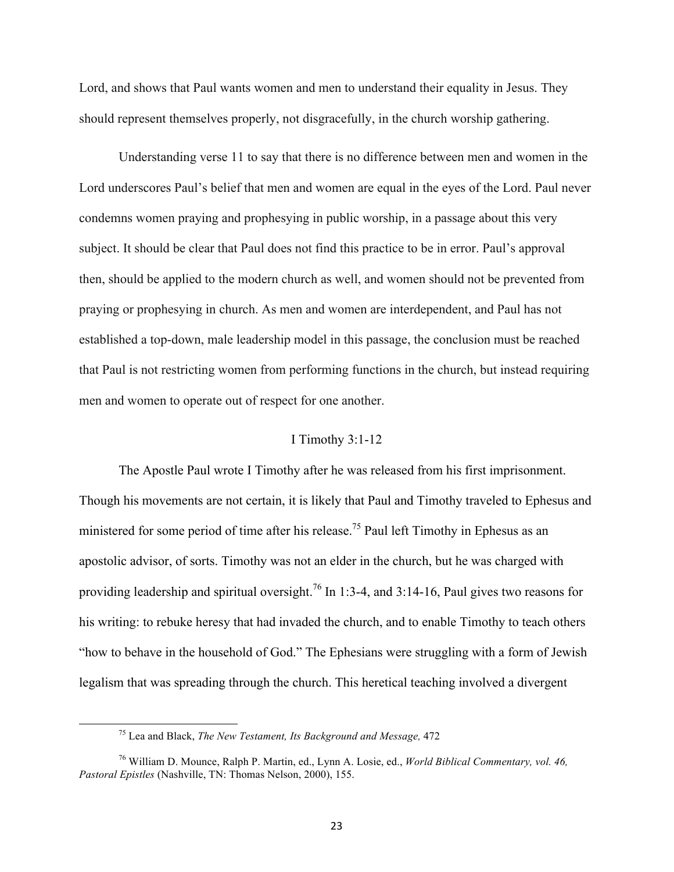Lord, and shows that Paul wants women and men to understand their equality in Jesus. They should represent themselves properly, not disgracefully, in the church worship gathering.

Understanding verse 11 to say that there is no difference between men and women in the Lord underscores Paul's belief that men and women are equal in the eyes of the Lord. Paul never condemns women praying and prophesying in public worship, in a passage about this very subject. It should be clear that Paul does not find this practice to be in error. Paul's approval then, should be applied to the modern church as well, and women should not be prevented from praying or prophesying in church. As men and women are interdependent, and Paul has not established a top-down, male leadership model in this passage, the conclusion must be reached that Paul is not restricting women from performing functions in the church, but instead requiring men and women to operate out of respect for one another.

#### I Timothy 3:1-12

The Apostle Paul wrote I Timothy after he was released from his first imprisonment. Though his movements are not certain, it is likely that Paul and Timothy traveled to Ephesus and ministered for some period of time after his release.<sup>75</sup> Paul left Timothy in Ephesus as an apostolic advisor, of sorts. Timothy was not an elder in the church, but he was charged with providing leadership and spiritual oversight.<sup>76</sup> In 1:3-4, and 3:14-16, Paul gives two reasons for his writing: to rebuke heresy that had invaded the church, and to enable Timothy to teach others "how to behave in the household of God." The Ephesians were struggling with a form of Jewish legalism that was spreading through the church. This heretical teaching involved a divergent

<sup>75</sup> Lea and Black, *The New Testament, Its Background and Message,* 472

<sup>76</sup> William D. Mounce, Ralph P. Martin, ed., Lynn A. Losie, ed., *World Biblical Commentary, vol. 46, Pastoral Epistles* (Nashville, TN: Thomas Nelson, 2000), 155.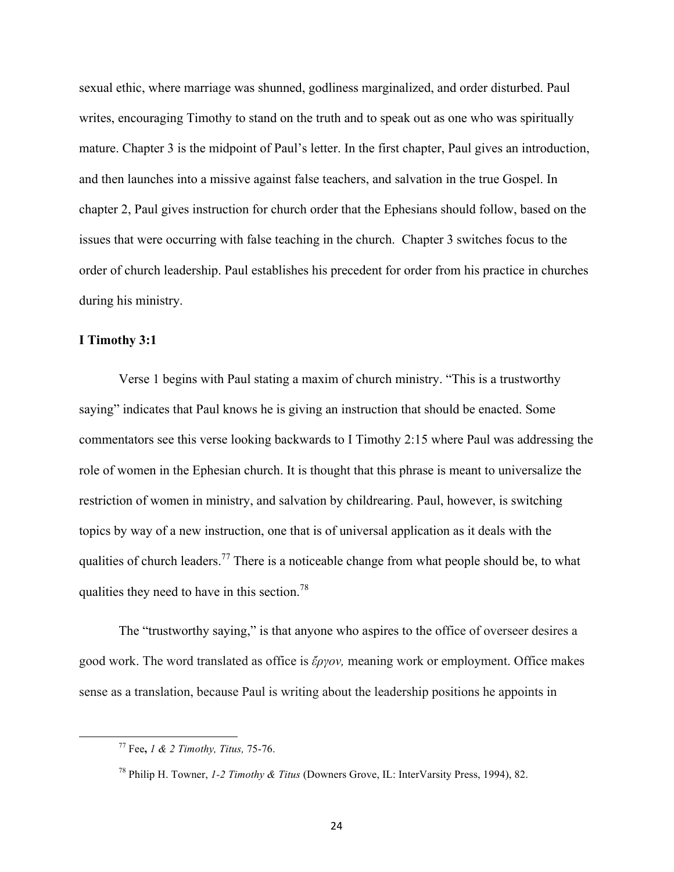sexual ethic, where marriage was shunned, godliness marginalized, and order disturbed. Paul writes, encouraging Timothy to stand on the truth and to speak out as one who was spiritually mature. Chapter 3 is the midpoint of Paul's letter. In the first chapter, Paul gives an introduction, and then launches into a missive against false teachers, and salvation in the true Gospel. In chapter 2, Paul gives instruction for church order that the Ephesians should follow, based on the issues that were occurring with false teaching in the church. Chapter 3 switches focus to the order of church leadership. Paul establishes his precedent for order from his practice in churches during his ministry.

# **I Timothy 3:1**

Verse 1 begins with Paul stating a maxim of church ministry. "This is a trustworthy saying" indicates that Paul knows he is giving an instruction that should be enacted. Some commentators see this verse looking backwards to I Timothy 2:15 where Paul was addressing the role of women in the Ephesian church. It is thought that this phrase is meant to universalize the restriction of women in ministry, and salvation by childrearing. Paul, however, is switching topics by way of a new instruction, one that is of universal application as it deals with the qualities of church leaders.<sup>77</sup> There is a noticeable change from what people should be, to what qualities they need to have in this section.<sup>78</sup>

The "trustworthy saying," is that anyone who aspires to the office of overseer desires a good work. The word translated as office is *ἔργον,* meaning work or employment. Office makes sense as a translation, because Paul is writing about the leadership positions he appoints in

<sup>77</sup> Fee**,** *1 & 2 Timothy, Titus,* 75-76.

<sup>78</sup> Philip H. Towner, *1-2 Timothy & Titus* (Downers Grove, IL: InterVarsity Press, 1994), 82.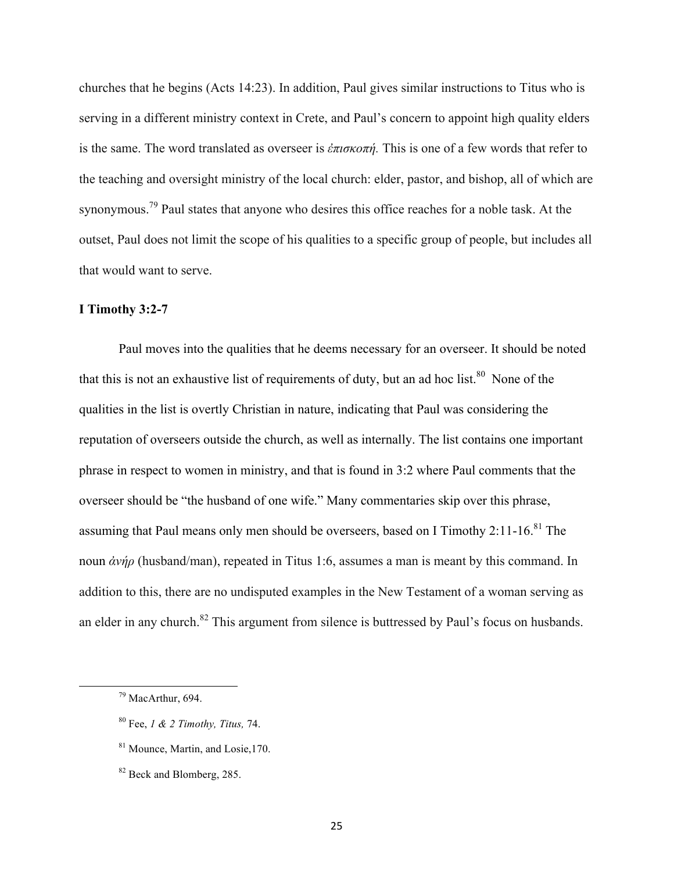churches that he begins (Acts 14:23). In addition, Paul gives similar instructions to Titus who is serving in a different ministry context in Crete, and Paul's concern to appoint high quality elders is the same. The word translated as overseer is *ἐπισκοπή.* This is one of a few words that refer to the teaching and oversight ministry of the local church: elder, pastor, and bishop, all of which are synonymous.<sup>79</sup> Paul states that anyone who desires this office reaches for a noble task. At the outset, Paul does not limit the scope of his qualities to a specific group of people, but includes all that would want to serve.

# **I Timothy 3:2-7**

Paul moves into the qualities that he deems necessary for an overseer. It should be noted that this is not an exhaustive list of requirements of duty, but an ad hoc list. $80$  None of the qualities in the list is overtly Christian in nature, indicating that Paul was considering the reputation of overseers outside the church, as well as internally. The list contains one important phrase in respect to women in ministry, and that is found in 3:2 where Paul comments that the overseer should be "the husband of one wife." Many commentaries skip over this phrase, assuming that Paul means only men should be overseers, based on I Timothy  $2:11-16$ .<sup>81</sup> The noun *ἀνήρ* (husband/man), repeated in Titus 1:6, assumes a man is meant by this command. In addition to this, there are no undisputed examples in the New Testament of a woman serving as an elder in any church.<sup>82</sup> This argument from silence is buttressed by Paul's focus on husbands.

<sup>&</sup>lt;u> 1989 - Jan Samuel Barbara, margaret e</u> <sup>79</sup> MacArthur, 694.

<sup>80</sup> Fee, *1 & 2 Timothy, Titus,* 74.

<sup>81</sup> Mounce, Martin, and Losie,170.

<sup>82</sup> Beck and Blomberg, 285.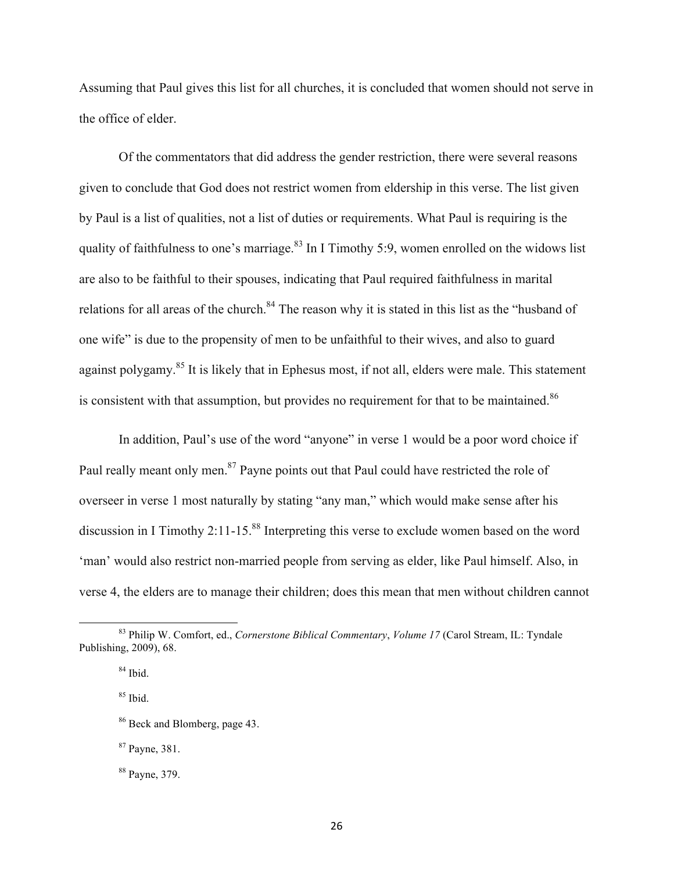Assuming that Paul gives this list for all churches, it is concluded that women should not serve in the office of elder.

Of the commentators that did address the gender restriction, there were several reasons given to conclude that God does not restrict women from eldership in this verse. The list given by Paul is a list of qualities, not a list of duties or requirements. What Paul is requiring is the quality of faithfulness to one's marriage. $83$  In I Timothy 5:9, women enrolled on the widows list are also to be faithful to their spouses, indicating that Paul required faithfulness in marital relations for all areas of the church.<sup>84</sup> The reason why it is stated in this list as the "husband of one wife" is due to the propensity of men to be unfaithful to their wives, and also to guard against polygamy.<sup>85</sup> It is likely that in Ephesus most, if not all, elders were male. This statement is consistent with that assumption, but provides no requirement for that to be maintained.<sup>86</sup>

In addition, Paul's use of the word "anyone" in verse 1 would be a poor word choice if Paul really meant only men.<sup>87</sup> Payne points out that Paul could have restricted the role of overseer in verse 1 most naturally by stating "any man," which would make sense after his discussion in I Timothy 2:11-15.<sup>88</sup> Interpreting this verse to exclude women based on the word 'man' would also restrict non-married people from serving as elder, like Paul himself. Also, in verse 4, the elders are to manage their children; does this mean that men without children cannot

<sup>83</sup> Philip W. Comfort, ed., *Cornerstone Biblical Commentary*, *Volume 17* (Carol Stream, IL: Tyndale Publishing, 2009), 68.

 $84$  Ibid.

<sup>85</sup> Ibid.

<sup>86</sup> Beck and Blomberg, page 43.

<sup>87</sup> Payne, 381.

<sup>88</sup> Payne, 379.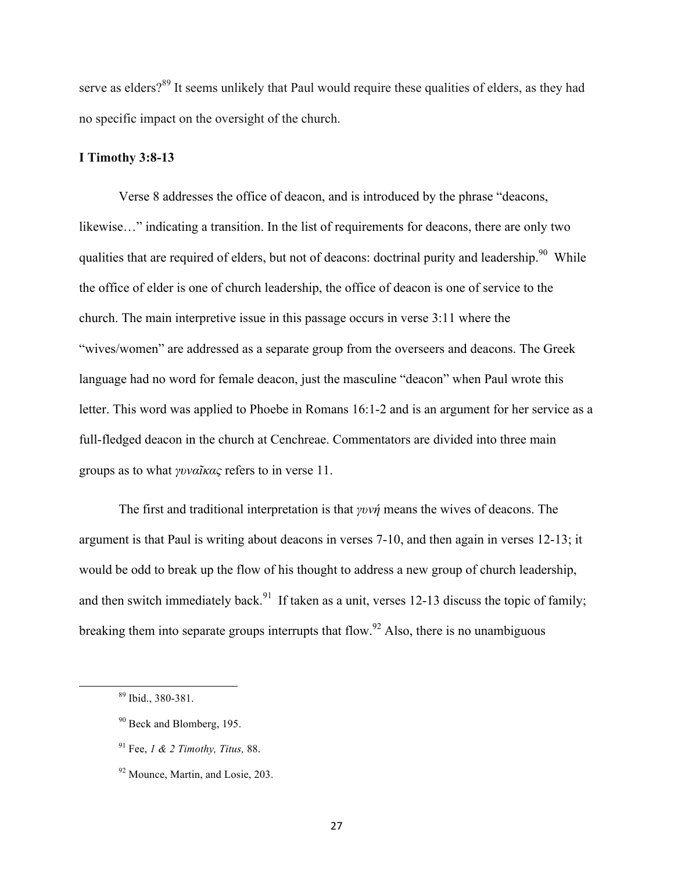serve as elders?<sup>89</sup> It seems unlikely that Paul would require these qualities of elders, as they had no specific impact on the oversight of the church.

### **I Timothy 3:8-13**

Verse 8 addresses the office of deacon, and is introduced by the phrase "deacons, likewise..." indicating a transition. In the list of requirements for deacons, there are only two qualities that are required of elders, but not of deacons: doctrinal purity and leadership.<sup>90</sup> While the office of elder is one of church leadership, the office of deacon is one of service to the church. The main interpretive issue in this passage occurs in verse 3:11 where the "wives/women" are addressed as a separate group from the overseers and deacons. The Greek language had no word for female deacon, just the masculine "deacon" when Paul wrote this letter. This word was applied to Phoebe in Romans 16:1-2 and is an argument for her service as a full-fledged deacon in the church at Cenchreae. Commentators are divided into three main groups as to what *γυναῖκας* refers to in verse 11.

The first and traditional interpretation is that *γυνή* means the wives of deacons. The argument is that Paul is writing about deacons in verses 7-10, and then again in verses 12-13; it would be odd to break up the flow of his thought to address a new group of church leadership, and then switch immediately back.<sup>91</sup> If taken as a unit, verses 12-13 discuss the topic of family; breaking them into separate groups interrupts that flow.<sup>92</sup> Also, there is no unambiguous

<sup>&</sup>lt;u> 1989 - Jan Samuel Barbara, margaret e</u> <sup>89</sup> Ibid., 380-381.

<sup>90</sup> Beck and Blomberg, 195.

<sup>91</sup> Fee, *1 & 2 Timothy, Titus,* 88.

<sup>92</sup> Mounce, Martin, and Losie, 203.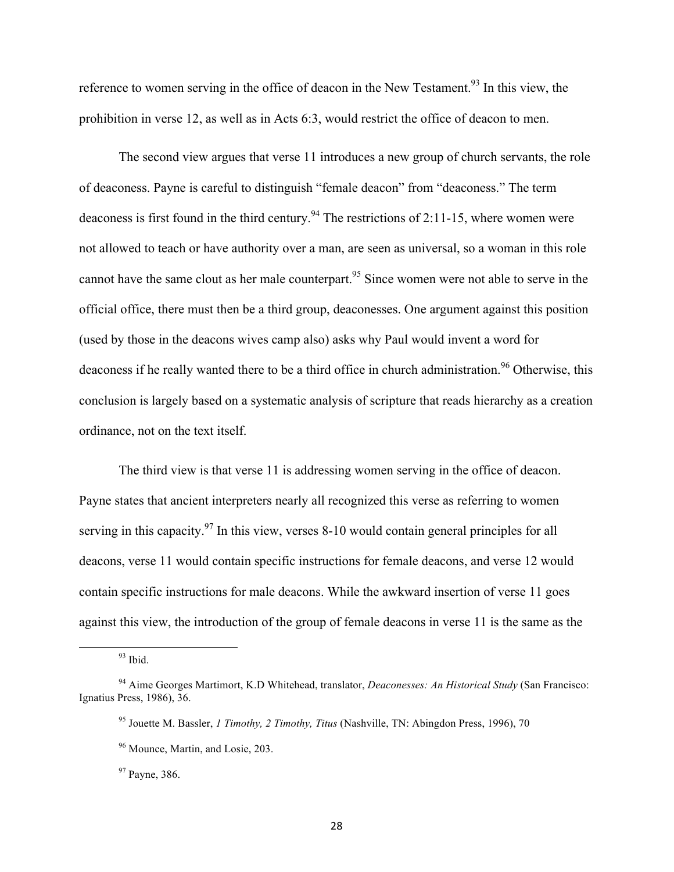reference to women serving in the office of deacon in the New Testament.<sup>93</sup> In this view, the prohibition in verse 12, as well as in Acts 6:3, would restrict the office of deacon to men.

The second view argues that verse 11 introduces a new group of church servants, the role of deaconess. Payne is careful to distinguish "female deacon" from "deaconess." The term deaconess is first found in the third century.<sup>94</sup> The restrictions of 2:11-15, where women were not allowed to teach or have authority over a man, are seen as universal, so a woman in this role cannot have the same clout as her male counterpart. <sup>95</sup> Since women were not able to serve in the official office, there must then be a third group, deaconesses. One argument against this position (used by those in the deacons wives camp also) asks why Paul would invent a word for deaconess if he really wanted there to be a third office in church administration.<sup>96</sup> Otherwise, this conclusion is largely based on a systematic analysis of scripture that reads hierarchy as a creation ordinance, not on the text itself.

The third view is that verse 11 is addressing women serving in the office of deacon. Payne states that ancient interpreters nearly all recognized this verse as referring to women serving in this capacity.<sup>97</sup> In this view, verses 8-10 would contain general principles for all deacons, verse 11 would contain specific instructions for female deacons, and verse 12 would contain specific instructions for male deacons. While the awkward insertion of verse 11 goes against this view, the introduction of the group of female deacons in verse 11 is the same as the

<sup>93</sup> Ibid.

<sup>94</sup> Aime Georges Martimort, K.D Whitehead, translator, *Deaconesses: An Historical Study* (San Francisco: Ignatius Press, 1986), 36.

<sup>95</sup> Jouette M. Bassler, *1 Timothy, 2 Timothy, Titus* (Nashville, TN: Abingdon Press, 1996), 70

<sup>96</sup> Mounce, Martin, and Losie, 203.

<sup>&</sup>lt;sup>97</sup> Payne, 386.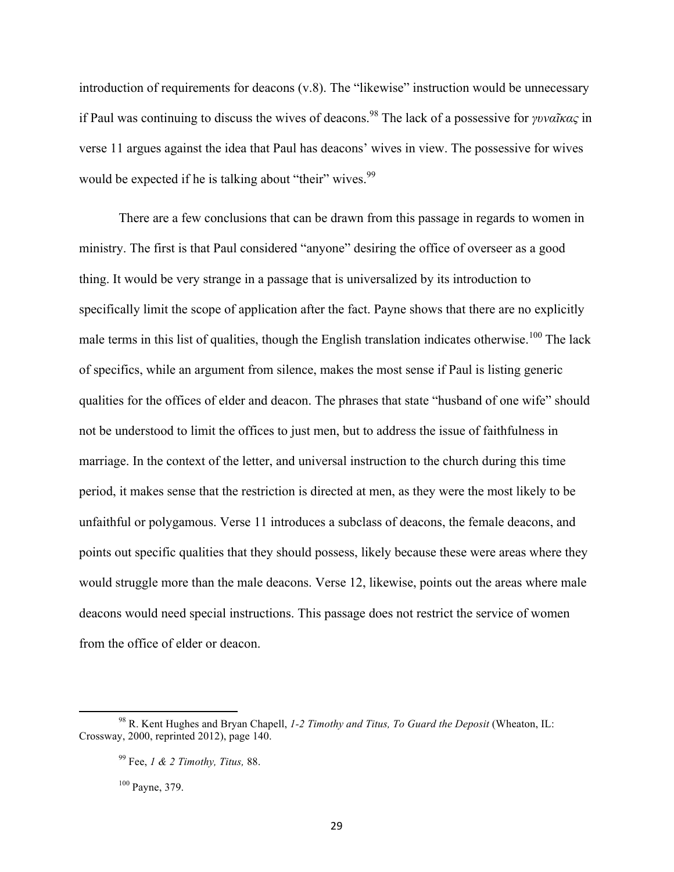introduction of requirements for deacons (v.8). The "likewise" instruction would be unnecessary if Paul was continuing to discuss the wives of deacons.<sup>98</sup> The lack of a possessive for *γυναῖκας* in verse 11 argues against the idea that Paul has deacons' wives in view. The possessive for wives would be expected if he is talking about "their" wives.<sup>99</sup>

There are a few conclusions that can be drawn from this passage in regards to women in ministry. The first is that Paul considered "anyone" desiring the office of overseer as a good thing. It would be very strange in a passage that is universalized by its introduction to specifically limit the scope of application after the fact. Payne shows that there are no explicitly male terms in this list of qualities, though the English translation indicates otherwise.<sup>100</sup> The lack of specifics, while an argument from silence, makes the most sense if Paul is listing generic qualities for the offices of elder and deacon. The phrases that state "husband of one wife" should not be understood to limit the offices to just men, but to address the issue of faithfulness in marriage. In the context of the letter, and universal instruction to the church during this time period, it makes sense that the restriction is directed at men, as they were the most likely to be unfaithful or polygamous. Verse 11 introduces a subclass of deacons, the female deacons, and points out specific qualities that they should possess, likely because these were areas where they would struggle more than the male deacons. Verse 12, likewise, points out the areas where male deacons would need special instructions. This passage does not restrict the service of women from the office of elder or deacon.

<sup>100</sup> Payne, 379.

<sup>98</sup> R. Kent Hughes and Bryan Chapell, *1-2 Timothy and Titus, To Guard the Deposit* (Wheaton, IL: Crossway, 2000, reprinted 2012), page 140.

<sup>99</sup> Fee, *1 & 2 Timothy, Titus,* 88.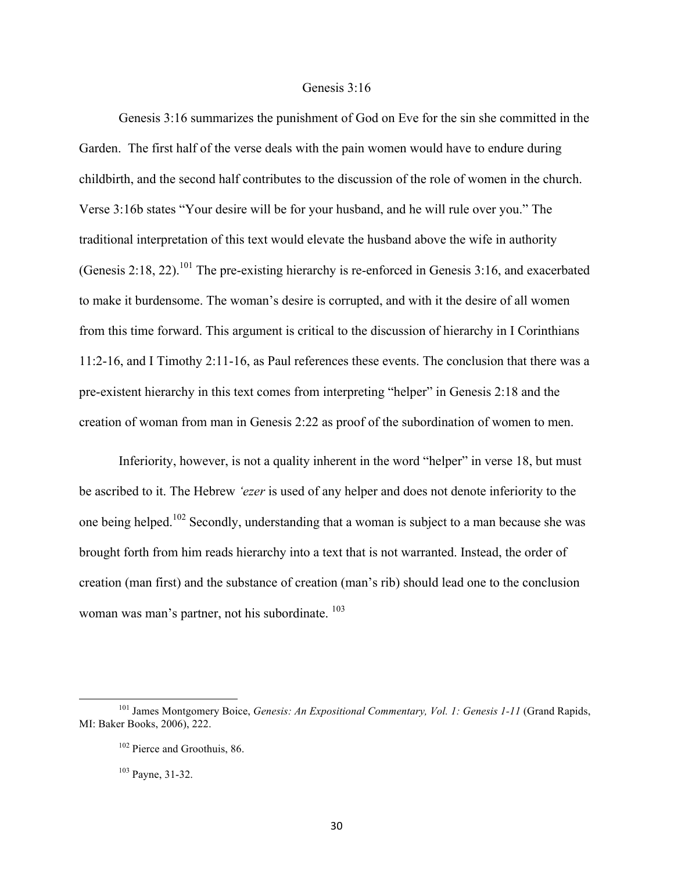#### Genesis 3:16

Genesis 3:16 summarizes the punishment of God on Eve for the sin she committed in the Garden. The first half of the verse deals with the pain women would have to endure during childbirth, and the second half contributes to the discussion of the role of women in the church. Verse 3:16b states "Your desire will be for your husband, and he will rule over you." The traditional interpretation of this text would elevate the husband above the wife in authority (Genesis 2:18, 22).<sup>101</sup> The pre-existing hierarchy is re-enforced in Genesis 3:16, and exacerbated to make it burdensome. The woman's desire is corrupted, and with it the desire of all women from this time forward. This argument is critical to the discussion of hierarchy in I Corinthians 11:2-16, and I Timothy 2:11-16, as Paul references these events. The conclusion that there was a pre-existent hierarchy in this text comes from interpreting "helper" in Genesis 2:18 and the creation of woman from man in Genesis 2:22 as proof of the subordination of women to men.

Inferiority, however, is not a quality inherent in the word "helper" in verse 18, but must be ascribed to it. The Hebrew *'ezer* is used of any helper and does not denote inferiority to the one being helped.<sup>102</sup> Secondly, understanding that a woman is subject to a man because she was brought forth from him reads hierarchy into a text that is not warranted. Instead, the order of creation (man first) and the substance of creation (man's rib) should lead one to the conclusion woman was man's partner, not his subordinate. <sup>103</sup>

<sup>101</sup> James Montgomery Boice, *Genesis: An Expositional Commentary, Vol. 1: Genesis 1-11* (Grand Rapids, MI: Baker Books, 2006), 222.

<sup>&</sup>lt;sup>102</sup> Pierce and Groothuis, 86.

<sup>103</sup> Payne, 31-32.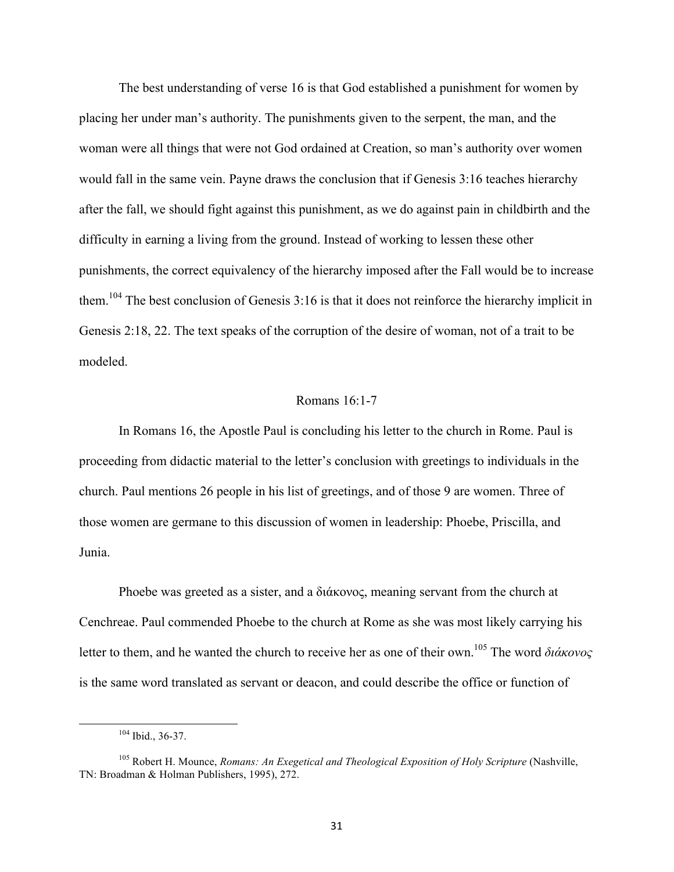The best understanding of verse 16 is that God established a punishment for women by placing her under man's authority. The punishments given to the serpent, the man, and the woman were all things that were not God ordained at Creation, so man's authority over women would fall in the same vein. Payne draws the conclusion that if Genesis 3:16 teaches hierarchy after the fall, we should fight against this punishment, as we do against pain in childbirth and the difficulty in earning a living from the ground. Instead of working to lessen these other punishments, the correct equivalency of the hierarchy imposed after the Fall would be to increase them.<sup>104</sup> The best conclusion of Genesis 3:16 is that it does not reinforce the hierarchy implicit in Genesis 2:18, 22. The text speaks of the corruption of the desire of woman, not of a trait to be modeled.

### Romans 16:1-7

In Romans 16, the Apostle Paul is concluding his letter to the church in Rome. Paul is proceeding from didactic material to the letter's conclusion with greetings to individuals in the church. Paul mentions 26 people in his list of greetings, and of those 9 are women. Three of those women are germane to this discussion of women in leadership: Phoebe, Priscilla, and Junia.

Phoebe was greeted as a sister, and a διάκονος, meaning servant from the church at Cenchreae. Paul commended Phoebe to the church at Rome as she was most likely carrying his letter to them, and he wanted the church to receive her as one of their own.105 The word *διάκονος* is the same word translated as servant or deacon, and could describe the office or function of

 <sup>104</sup> Ibid., 36-37.

<sup>105</sup> Robert H. Mounce, *Romans: An Exegetical and Theological Exposition of Holy Scripture* (Nashville, TN: Broadman & Holman Publishers, 1995), 272.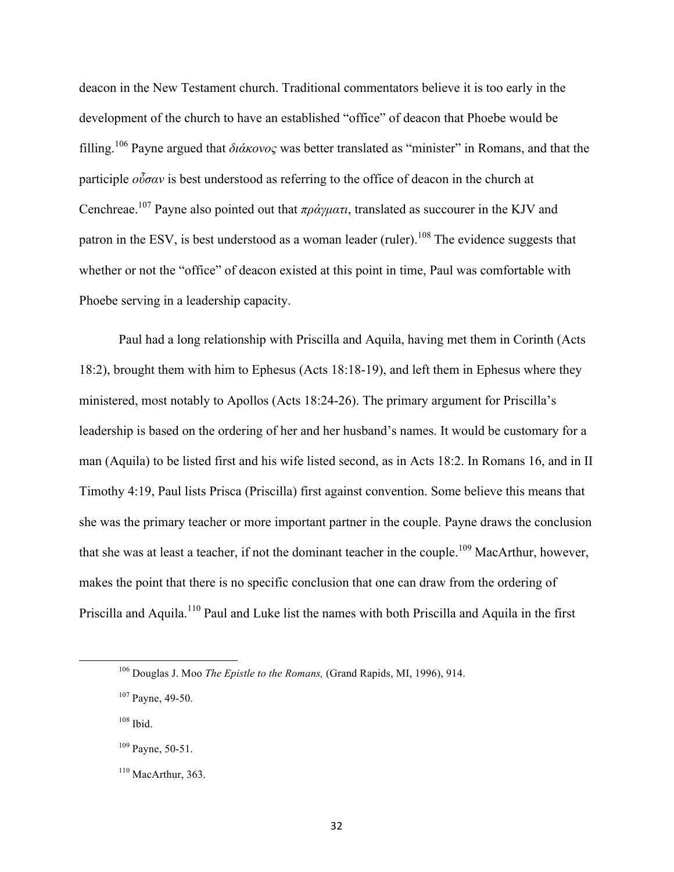deacon in the New Testament church. Traditional commentators believe it is too early in the development of the church to have an established "office" of deacon that Phoebe would be filling. <sup>106</sup> Payne argued that *διάκονος* was better translated as "minister" in Romans, and that the participle *οὖσαν* is best understood as referring to the office of deacon in the church at Cenchreae.107 Payne also pointed out that *πράγµατι*, translated as succourer in the KJV and patron in the ESV, is best understood as a woman leader (ruler).<sup>108</sup> The evidence suggests that whether or not the "office" of deacon existed at this point in time, Paul was comfortable with Phoebe serving in a leadership capacity.

Paul had a long relationship with Priscilla and Aquila, having met them in Corinth (Acts 18:2), brought them with him to Ephesus (Acts 18:18-19), and left them in Ephesus where they ministered, most notably to Apollos (Acts 18:24-26). The primary argument for Priscilla's leadership is based on the ordering of her and her husband's names. It would be customary for a man (Aquila) to be listed first and his wife listed second, as in Acts 18:2. In Romans 16, and in II Timothy 4:19, Paul lists Prisca (Priscilla) first against convention. Some believe this means that she was the primary teacher or more important partner in the couple. Payne draws the conclusion that she was at least a teacher, if not the dominant teacher in the couple.<sup>109</sup> MacArthur, however, makes the point that there is no specific conclusion that one can draw from the ordering of Priscilla and Aquila.<sup>110</sup> Paul and Luke list the names with both Priscilla and Aquila in the first

<sup>106</sup> Douglas J. Moo *The Epistle to the Romans,* (Grand Rapids, MI, 1996), 914.

<sup>&</sup>lt;sup>107</sup> Payne, 49-50.

<sup>108</sup> Ibid.

 $109$  Payne, 50-51.

 $110$  MacArthur, 363.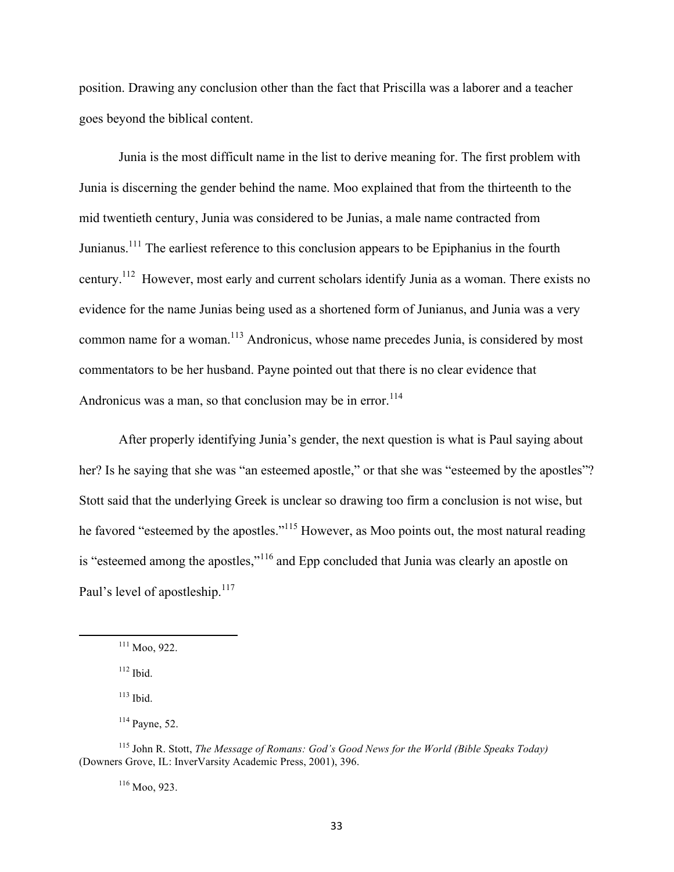position. Drawing any conclusion other than the fact that Priscilla was a laborer and a teacher goes beyond the biblical content.

Junia is the most difficult name in the list to derive meaning for. The first problem with Junia is discerning the gender behind the name. Moo explained that from the thirteenth to the mid twentieth century, Junia was considered to be Junias, a male name contracted from Junianus.<sup>111</sup> The earliest reference to this conclusion appears to be Epiphanius in the fourth century.<sup>112</sup> However, most early and current scholars identify Junia as a woman. There exists no evidence for the name Junias being used as a shortened form of Junianus, and Junia was a very common name for a woman.<sup>113</sup> Andronicus, whose name precedes Junia, is considered by most commentators to be her husband. Payne pointed out that there is no clear evidence that Andronicus was a man, so that conclusion may be in error.<sup>114</sup>

After properly identifying Junia's gender, the next question is what is Paul saying about her? Is he saying that she was "an esteemed apostle," or that she was "esteemed by the apostles"? Stott said that the underlying Greek is unclear so drawing too firm a conclusion is not wise, but he favored "esteemed by the apostles."<sup>115</sup> However, as Moo points out, the most natural reading is "esteemed among the apostles,"<sup>116</sup> and Epp concluded that Junia was clearly an apostle on Paul's level of apostleship.<sup>117</sup>

<u> 1989 - Jan Samuel Barbara, margaret e</u>

<sup>116</sup> Moo, 923.

<sup>111</sup> Moo, 922.

 $112$  Ibid.

 $113$  Ibid.

 $114$  Payne, 52.

<sup>115</sup> John R. Stott, *The Message of Romans: God's Good News for the World (Bible Speaks Today)* (Downers Grove, IL: InverVarsity Academic Press, 2001), 396.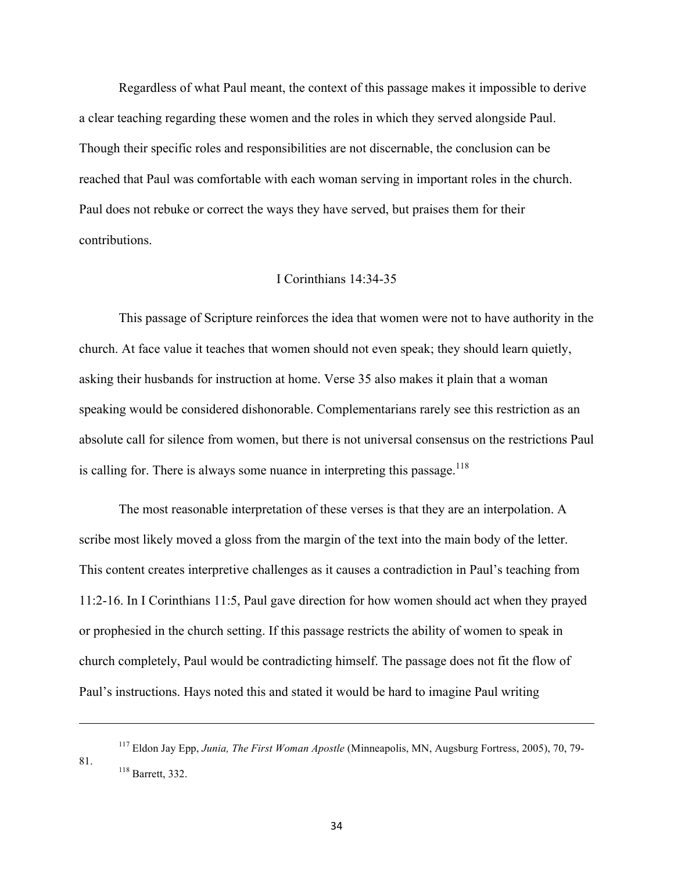Regardless of what Paul meant, the context of this passage makes it impossible to derive a clear teaching regarding these women and the roles in which they served alongside Paul. Though their specific roles and responsibilities are not discernable, the conclusion can be reached that Paul was comfortable with each woman serving in important roles in the church. Paul does not rebuke or correct the ways they have served, but praises them for their contributions.

# I Corinthians 14:34-35

This passage of Scripture reinforces the idea that women were not to have authority in the church. At face value it teaches that women should not even speak; they should learn quietly, asking their husbands for instruction at home. Verse 35 also makes it plain that a woman speaking would be considered dishonorable. Complementarians rarely see this restriction as an absolute call for silence from women, but there is not universal consensus on the restrictions Paul is calling for. There is always some nuance in interpreting this passage.<sup>118</sup>

The most reasonable interpretation of these verses is that they are an interpolation. A scribe most likely moved a gloss from the margin of the text into the main body of the letter. This content creates interpretive challenges as it causes a contradiction in Paul's teaching from 11:2-16. In I Corinthians 11:5, Paul gave direction for how women should act when they prayed or prophesied in the church setting. If this passage restricts the ability of women to speak in church completely, Paul would be contradicting himself. The passage does not fit the flow of Paul's instructions. Hays noted this and stated it would be hard to imagine Paul writing

<u> 1989 - Andrea Santa Andrea Andrea Andrea Andrea Andrea Andrea Andrea Andrea Andrea Andrea Andrea Andrea Andr</u>

<sup>117</sup> Eldon Jay Epp, *Junia, The First Woman Apostle* (Minneapolis, MN, Augsburg Fortress, 2005), 70, 79- 81. 118 Barrett, 332.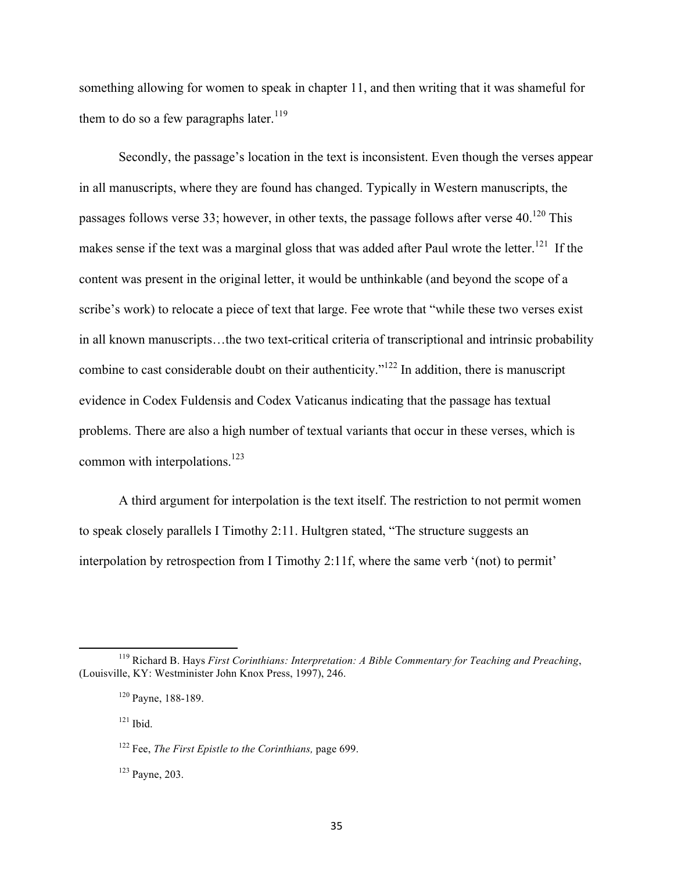something allowing for women to speak in chapter 11, and then writing that it was shameful for them to do so a few paragraphs later.<sup>119</sup>

Secondly, the passage's location in the text is inconsistent. Even though the verses appear in all manuscripts, where they are found has changed. Typically in Western manuscripts, the passages follows verse 33; however, in other texts, the passage follows after verse  $40^{120}$  This makes sense if the text was a marginal gloss that was added after Paul wrote the letter.<sup>121</sup> If the content was present in the original letter, it would be unthinkable (and beyond the scope of a scribe's work) to relocate a piece of text that large. Fee wrote that "while these two verses exist in all known manuscripts…the two text-critical criteria of transcriptional and intrinsic probability combine to cast considerable doubt on their authenticity."122 In addition, there is manuscript evidence in Codex Fuldensis and Codex Vaticanus indicating that the passage has textual problems. There are also a high number of textual variants that occur in these verses, which is common with interpolations.<sup>123</sup>

A third argument for interpolation is the text itself. The restriction to not permit women to speak closely parallels I Timothy 2:11. Hultgren stated, "The structure suggests an interpolation by retrospection from I Timothy 2:11f, where the same verb '(not) to permit'

<u> 1989 - Jan Samuel Barbara, margaret e</u>

 $121$  Ibid.

<sup>119</sup> Richard B. Hays *First Corinthians: Interpretation: A Bible Commentary for Teaching and Preaching*, (Louisville, KY: Westminister John Knox Press, 1997), 246.

<sup>120</sup> Payne, 188-189.

<sup>122</sup> Fee, *The First Epistle to the Corinthians,* page 699.

<sup>123</sup> Payne, 203.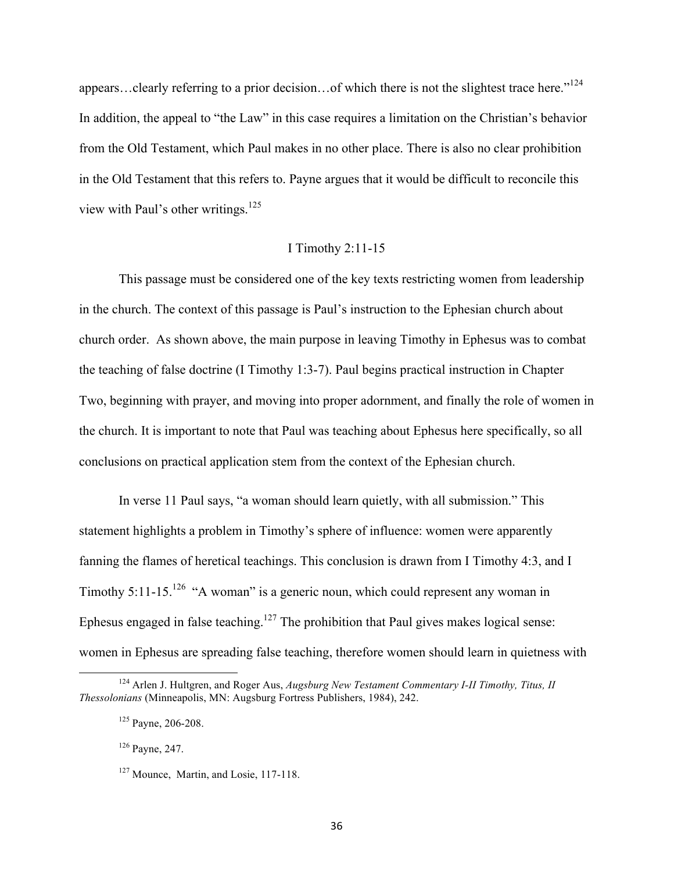appears…clearly referring to a prior decision…of which there is not the slightest trace here."<sup>124</sup> In addition, the appeal to "the Law" in this case requires a limitation on the Christian's behavior from the Old Testament, which Paul makes in no other place. There is also no clear prohibition in the Old Testament that this refers to. Payne argues that it would be difficult to reconcile this view with Paul's other writings.<sup>125</sup>

# I Timothy 2:11-15

This passage must be considered one of the key texts restricting women from leadership in the church. The context of this passage is Paul's instruction to the Ephesian church about church order. As shown above, the main purpose in leaving Timothy in Ephesus was to combat the teaching of false doctrine (I Timothy 1:3-7). Paul begins practical instruction in Chapter Two, beginning with prayer, and moving into proper adornment, and finally the role of women in the church. It is important to note that Paul was teaching about Ephesus here specifically, so all conclusions on practical application stem from the context of the Ephesian church.

In verse 11 Paul says, "a woman should learn quietly, with all submission." This statement highlights a problem in Timothy's sphere of influence: women were apparently fanning the flames of heretical teachings. This conclusion is drawn from I Timothy 4:3, and I Timothy 5:11-15.<sup>126</sup> "A woman" is a generic noun, which could represent any woman in Ephesus engaged in false teaching.<sup>127</sup> The prohibition that Paul gives makes logical sense: women in Ephesus are spreading false teaching, therefore women should learn in quietness with

<sup>124</sup> Arlen J. Hultgren, and Roger Aus, *Augsburg New Testament Commentary I-II Timothy, Titus, II Thessolonians* (Minneapolis, MN: Augsburg Fortress Publishers, 1984), 242.

<sup>125</sup> Payne, 206-208.

<sup>126</sup> Payne, 247.

<sup>&</sup>lt;sup>127</sup> Mounce, Martin, and Losie, 117-118.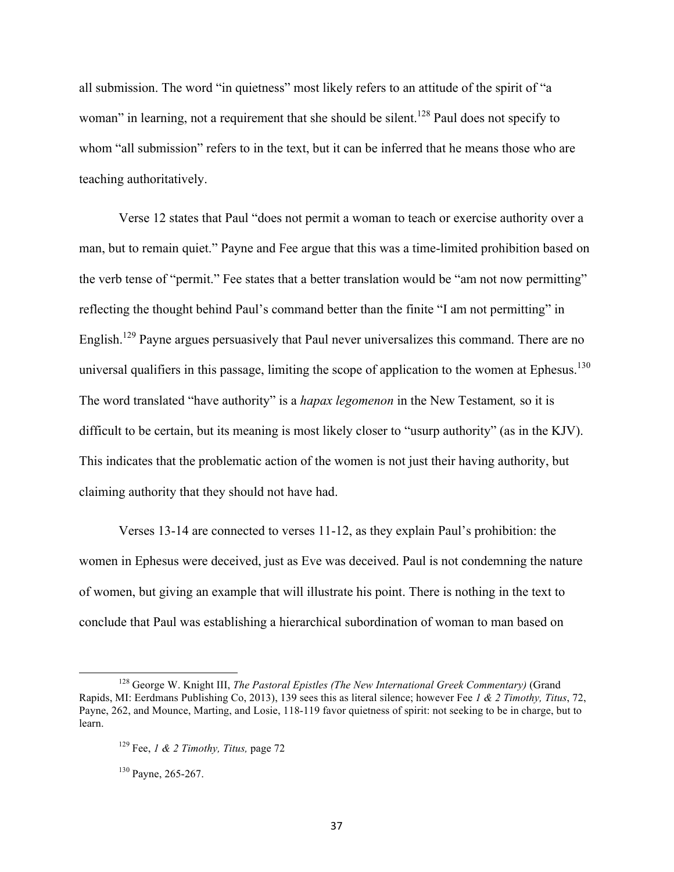all submission. The word "in quietness" most likely refers to an attitude of the spirit of "a woman" in learning, not a requirement that she should be silent.<sup>128</sup> Paul does not specify to whom "all submission" refers to in the text, but it can be inferred that he means those who are teaching authoritatively.

Verse 12 states that Paul "does not permit a woman to teach or exercise authority over a man, but to remain quiet." Payne and Fee argue that this was a time-limited prohibition based on the verb tense of "permit." Fee states that a better translation would be "am not now permitting" reflecting the thought behind Paul's command better than the finite "I am not permitting" in English.<sup>129</sup> Payne argues persuasively that Paul never universalizes this command. There are no universal qualifiers in this passage, limiting the scope of application to the women at Ephesus.<sup>130</sup> The word translated "have authority" is a *hapax legomenon* in the New Testament*,* so it is difficult to be certain, but its meaning is most likely closer to "usurp authority" (as in the KJV). This indicates that the problematic action of the women is not just their having authority, but claiming authority that they should not have had.

Verses 13-14 are connected to verses 11-12, as they explain Paul's prohibition: the women in Ephesus were deceived, just as Eve was deceived. Paul is not condemning the nature of women, but giving an example that will illustrate his point. There is nothing in the text to conclude that Paul was establishing a hierarchical subordination of woman to man based on

<sup>128</sup> George W. Knight III, *The Pastoral Epistles (The New International Greek Commentary)* (Grand Rapids, MI: Eerdmans Publishing Co, 2013), 139 sees this as literal silence; however Fee *1 & 2 Timothy, Titus*, 72, Payne, 262, and Mounce, Marting, and Losie, 118-119 favor quietness of spirit: not seeking to be in charge, but to learn.

<sup>129</sup> Fee, *1 & 2 Timothy, Titus,* page 72

<sup>&</sup>lt;sup>130</sup> Payne, 265-267.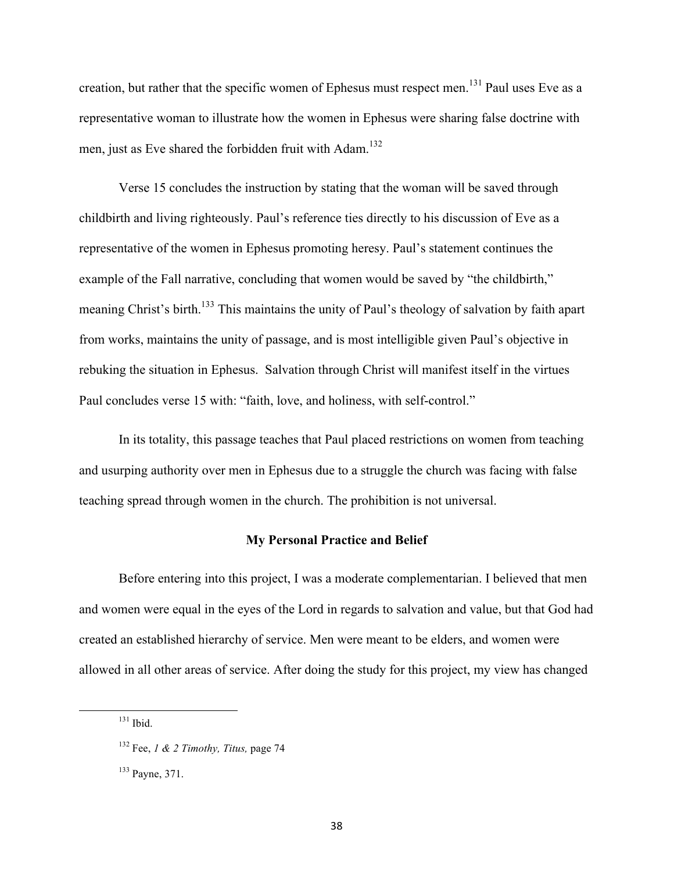creation, but rather that the specific women of Ephesus must respect men.<sup>131</sup> Paul uses Eve as a representative woman to illustrate how the women in Ephesus were sharing false doctrine with men, just as Eve shared the forbidden fruit with Adam.<sup>132</sup>

Verse 15 concludes the instruction by stating that the woman will be saved through childbirth and living righteously. Paul's reference ties directly to his discussion of Eve as a representative of the women in Ephesus promoting heresy. Paul's statement continues the example of the Fall narrative, concluding that women would be saved by "the childbirth," meaning Christ's birth.<sup>133</sup> This maintains the unity of Paul's theology of salvation by faith apart from works, maintains the unity of passage, and is most intelligible given Paul's objective in rebuking the situation in Ephesus. Salvation through Christ will manifest itself in the virtues Paul concludes verse 15 with: "faith, love, and holiness, with self-control."

In its totality, this passage teaches that Paul placed restrictions on women from teaching and usurping authority over men in Ephesus due to a struggle the church was facing with false teaching spread through women in the church. The prohibition is not universal.

# **My Personal Practice and Belief**

Before entering into this project, I was a moderate complementarian. I believed that men and women were equal in the eyes of the Lord in regards to salvation and value, but that God had created an established hierarchy of service. Men were meant to be elders, and women were allowed in all other areas of service. After doing the study for this project, my view has changed

 $131$  Ibid.

<sup>132</sup> Fee, *1 & 2 Timothy, Titus,* page 74

<sup>133</sup> Payne, 371.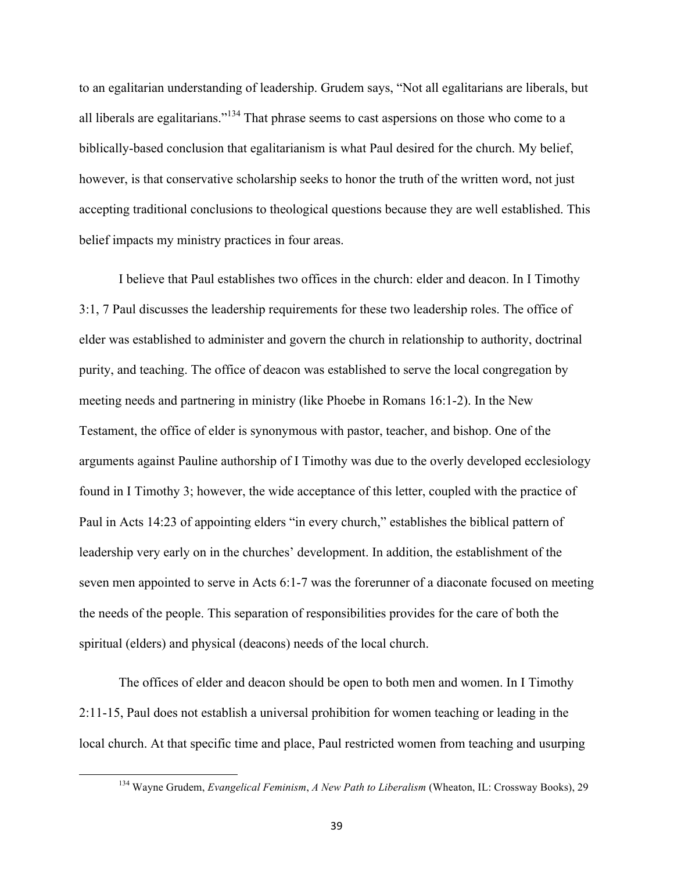to an egalitarian understanding of leadership. Grudem says, "Not all egalitarians are liberals, but all liberals are egalitarians."<sup>134</sup> That phrase seems to cast aspersions on those who come to a biblically-based conclusion that egalitarianism is what Paul desired for the church. My belief, however, is that conservative scholarship seeks to honor the truth of the written word, not just accepting traditional conclusions to theological questions because they are well established. This belief impacts my ministry practices in four areas.

I believe that Paul establishes two offices in the church: elder and deacon. In I Timothy 3:1, 7 Paul discusses the leadership requirements for these two leadership roles. The office of elder was established to administer and govern the church in relationship to authority, doctrinal purity, and teaching. The office of deacon was established to serve the local congregation by meeting needs and partnering in ministry (like Phoebe in Romans 16:1-2). In the New Testament, the office of elder is synonymous with pastor, teacher, and bishop. One of the arguments against Pauline authorship of I Timothy was due to the overly developed ecclesiology found in I Timothy 3; however, the wide acceptance of this letter, coupled with the practice of Paul in Acts 14:23 of appointing elders "in every church," establishes the biblical pattern of leadership very early on in the churches' development. In addition, the establishment of the seven men appointed to serve in Acts 6:1-7 was the forerunner of a diaconate focused on meeting the needs of the people. This separation of responsibilities provides for the care of both the spiritual (elders) and physical (deacons) needs of the local church.

The offices of elder and deacon should be open to both men and women. In I Timothy 2:11-15, Paul does not establish a universal prohibition for women teaching or leading in the local church. At that specific time and place, Paul restricted women from teaching and usurping

<sup>134</sup> Wayne Grudem, *Evangelical Feminism*, *A New Path to Liberalism* (Wheaton, IL: Crossway Books), 29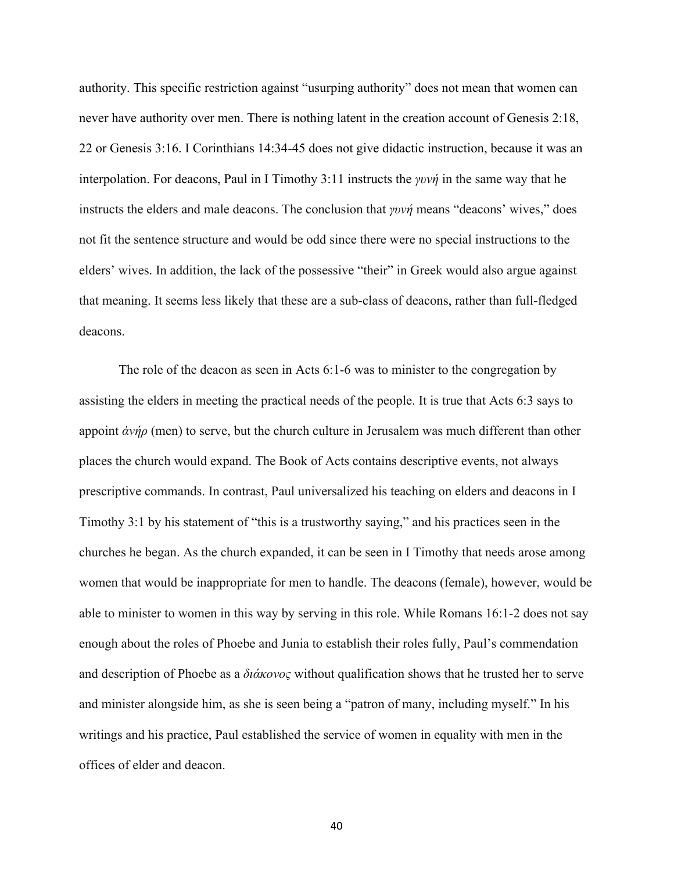authority. This specific restriction against "usurping authority" does not mean that women can never have authority over men. There is nothing latent in the creation account of Genesis 2:18, 22 or Genesis 3:16. I Corinthians 14:34-45 does not give didactic instruction, because it was an interpolation. For deacons, Paul in I Timothy 3:11 instructs the *γυνή* in the same way that he instructs the elders and male deacons. The conclusion that *γυνή* means "deacons' wives," does not fit the sentence structure and would be odd since there were no special instructions to the elders' wives. In addition, the lack of the possessive "their" in Greek would also argue against that meaning. It seems less likely that these are a sub-class of deacons, rather than full-fledged deacons.

The role of the deacon as seen in Acts 6:1-6 was to minister to the congregation by assisting the elders in meeting the practical needs of the people. It is true that Acts 6:3 says to appoint *ἀνήρ* (men) to serve, but the church culture in Jerusalem was much different than other places the church would expand. The Book of Acts contains descriptive events, not always prescriptive commands. In contrast, Paul universalized his teaching on elders and deacons in I Timothy 3:1 by his statement of "this is a trustworthy saying," and his practices seen in the churches he began. As the church expanded, it can be seen in I Timothy that needs arose among women that would be inappropriate for men to handle. The deacons (female), however, would be able to minister to women in this way by serving in this role. While Romans 16:1-2 does not say enough about the roles of Phoebe and Junia to establish their roles fully, Paul's commendation and description of Phoebe as a *διάκονος* without qualification shows that he trusted her to serve and minister alongside him, as she is seen being a "patron of many, including myself." In his writings and his practice, Paul established the service of women in equality with men in the offices of elder and deacon.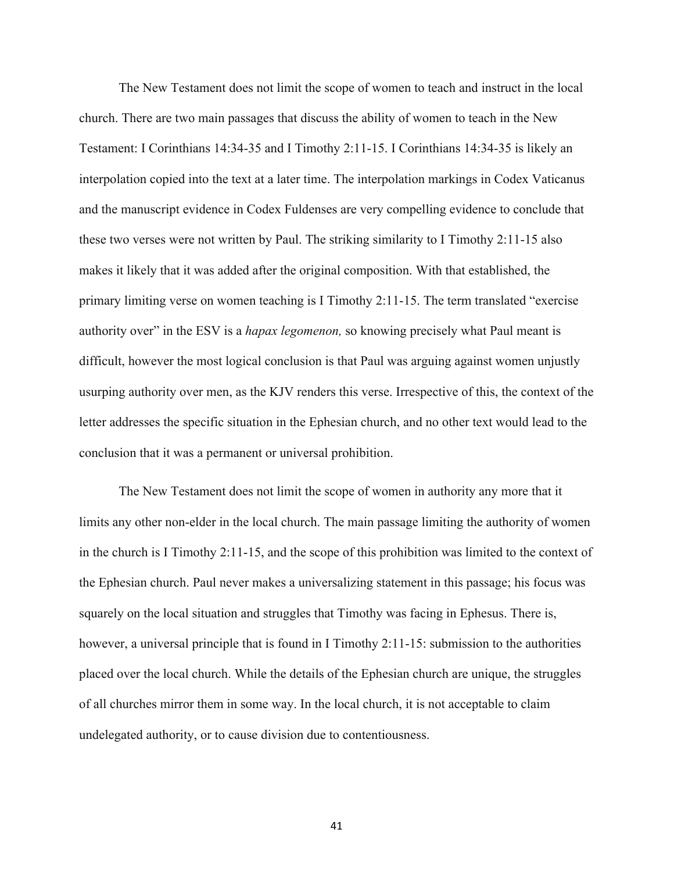The New Testament does not limit the scope of women to teach and instruct in the local church. There are two main passages that discuss the ability of women to teach in the New Testament: I Corinthians 14:34-35 and I Timothy 2:11-15. I Corinthians 14:34-35 is likely an interpolation copied into the text at a later time. The interpolation markings in Codex Vaticanus and the manuscript evidence in Codex Fuldenses are very compelling evidence to conclude that these two verses were not written by Paul. The striking similarity to I Timothy 2:11-15 also makes it likely that it was added after the original composition. With that established, the primary limiting verse on women teaching is I Timothy 2:11-15. The term translated "exercise authority over" in the ESV is a *hapax legomenon,* so knowing precisely what Paul meant is difficult, however the most logical conclusion is that Paul was arguing against women unjustly usurping authority over men, as the KJV renders this verse. Irrespective of this, the context of the letter addresses the specific situation in the Ephesian church, and no other text would lead to the conclusion that it was a permanent or universal prohibition.

The New Testament does not limit the scope of women in authority any more that it limits any other non-elder in the local church. The main passage limiting the authority of women in the church is I Timothy 2:11-15, and the scope of this prohibition was limited to the context of the Ephesian church. Paul never makes a universalizing statement in this passage; his focus was squarely on the local situation and struggles that Timothy was facing in Ephesus. There is, however, a universal principle that is found in I Timothy 2:11-15: submission to the authorities placed over the local church. While the details of the Ephesian church are unique, the struggles of all churches mirror them in some way. In the local church, it is not acceptable to claim undelegated authority, or to cause division due to contentiousness.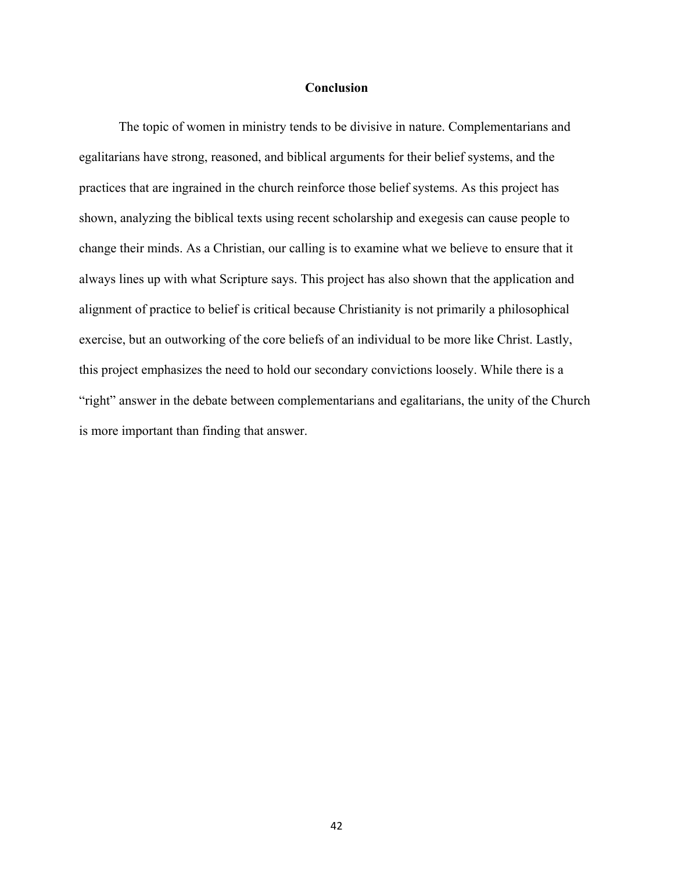### **Conclusion**

The topic of women in ministry tends to be divisive in nature. Complementarians and egalitarians have strong, reasoned, and biblical arguments for their belief systems, and the practices that are ingrained in the church reinforce those belief systems. As this project has shown, analyzing the biblical texts using recent scholarship and exegesis can cause people to change their minds. As a Christian, our calling is to examine what we believe to ensure that it always lines up with what Scripture says. This project has also shown that the application and alignment of practice to belief is critical because Christianity is not primarily a philosophical exercise, but an outworking of the core beliefs of an individual to be more like Christ. Lastly, this project emphasizes the need to hold our secondary convictions loosely. While there is a "right" answer in the debate between complementarians and egalitarians, the unity of the Church is more important than finding that answer.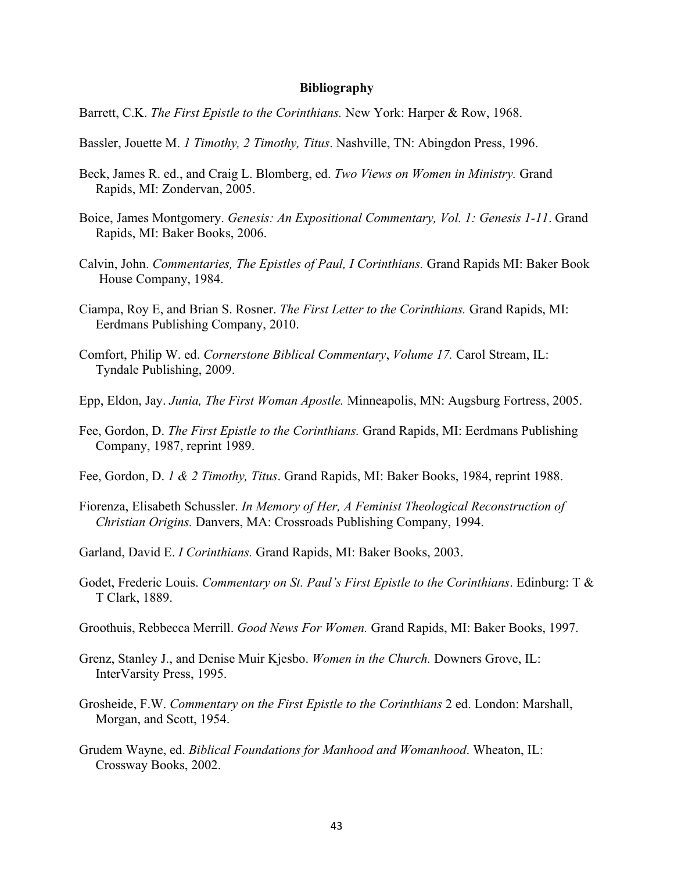#### **Bibliography**

- Barrett, C.K. *The First Epistle to the Corinthians.* New York: Harper & Row, 1968.
- Bassler, Jouette M. *1 Timothy, 2 Timothy, Titus*. Nashville, TN: Abingdon Press, 1996.
- Beck, James R. ed., and Craig L. Blomberg, ed. *Two Views on Women in Ministry.* Grand Rapids, MI: Zondervan, 2005.
- Boice, James Montgomery. *Genesis: An Expositional Commentary, Vol. 1: Genesis 1-11*. Grand Rapids, MI: Baker Books, 2006.
- Calvin, John. *Commentaries, The Epistles of Paul, I Corinthians.* Grand Rapids MI: Baker Book House Company, 1984.
- Ciampa, Roy E, and Brian S. Rosner. *The First Letter to the Corinthians.* Grand Rapids, MI: Eerdmans Publishing Company, 2010.
- Comfort, Philip W. ed. *Cornerstone Biblical Commentary*, *Volume 17.* Carol Stream, IL: Tyndale Publishing, 2009.
- Epp, Eldon, Jay. *Junia, The First Woman Apostle.* Minneapolis, MN: Augsburg Fortress, 2005.
- Fee, Gordon, D. *The First Epistle to the Corinthians.* Grand Rapids, MI: Eerdmans Publishing Company, 1987, reprint 1989.
- Fee, Gordon, D. *1 & 2 Timothy, Titus*. Grand Rapids, MI: Baker Books, 1984, reprint 1988.
- Fiorenza, Elisabeth Schussler. *In Memory of Her, A Feminist Theological Reconstruction of Christian Origins.* Danvers, MA: Crossroads Publishing Company, 1994.
- Garland, David E. *I Corinthians.* Grand Rapids, MI: Baker Books, 2003.
- Godet, Frederic Louis. *Commentary on St. Paul's First Epistle to the Corinthians*. Edinburg: T & T Clark, 1889.
- Groothuis, Rebbecca Merrill. *Good News For Women.* Grand Rapids, MI: Baker Books, 1997.
- Grenz, Stanley J., and Denise Muir Kjesbo. *Women in the Church.* Downers Grove, IL: InterVarsity Press, 1995.
- Grosheide, F.W. *Commentary on the First Epistle to the Corinthians* 2 ed. London: Marshall, Morgan, and Scott, 1954.
- Grudem Wayne, ed. *Biblical Foundations for Manhood and Womanhood*. Wheaton, IL: Crossway Books, 2002.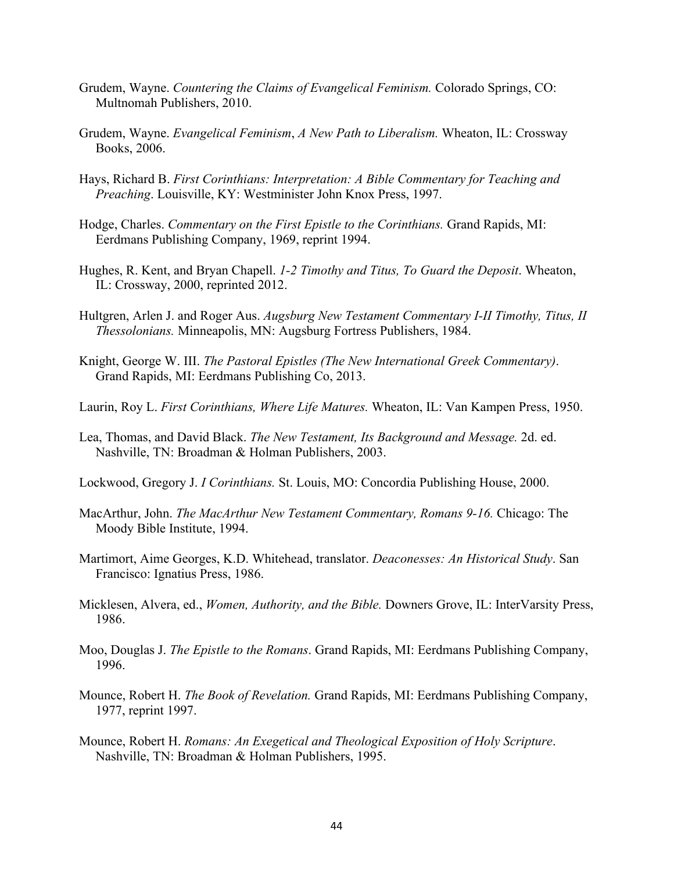- Grudem, Wayne. *Countering the Claims of Evangelical Feminism.* Colorado Springs, CO: Multnomah Publishers, 2010.
- Grudem, Wayne. *Evangelical Feminism*, *A New Path to Liberalism.* Wheaton, IL: Crossway Books, 2006.
- Hays, Richard B. *First Corinthians: Interpretation: A Bible Commentary for Teaching and Preaching*. Louisville, KY: Westminister John Knox Press, 1997.
- Hodge, Charles. *Commentary on the First Epistle to the Corinthians.* Grand Rapids, MI: Eerdmans Publishing Company, 1969, reprint 1994.
- Hughes, R. Kent, and Bryan Chapell. *1-2 Timothy and Titus, To Guard the Deposit*. Wheaton, IL: Crossway, 2000, reprinted 2012.
- Hultgren, Arlen J. and Roger Aus. *Augsburg New Testament Commentary I-II Timothy, Titus, II Thessolonians.* Minneapolis, MN: Augsburg Fortress Publishers, 1984.
- Knight, George W. III. *The Pastoral Epistles (The New International Greek Commentary)*. Grand Rapids, MI: Eerdmans Publishing Co, 2013.
- Laurin, Roy L. *First Corinthians, Where Life Matures.* Wheaton, IL: Van Kampen Press, 1950.
- Lea, Thomas, and David Black. *The New Testament, Its Background and Message.* 2d. ed. Nashville, TN: Broadman & Holman Publishers, 2003.
- Lockwood, Gregory J. *I Corinthians.* St. Louis, MO: Concordia Publishing House, 2000.
- MacArthur, John. *The MacArthur New Testament Commentary, Romans 9-16.* Chicago: The Moody Bible Institute, 1994.
- Martimort, Aime Georges, K.D. Whitehead, translator. *Deaconesses: An Historical Study*. San Francisco: Ignatius Press, 1986.
- Micklesen, Alvera, ed., *Women, Authority, and the Bible.* Downers Grove, IL: InterVarsity Press, 1986.
- Moo, Douglas J. *The Epistle to the Romans*. Grand Rapids, MI: Eerdmans Publishing Company, 1996.
- Mounce, Robert H. *The Book of Revelation.* Grand Rapids, MI: Eerdmans Publishing Company, 1977, reprint 1997.
- Mounce, Robert H. *Romans: An Exegetical and Theological Exposition of Holy Scripture*. Nashville, TN: Broadman & Holman Publishers, 1995.